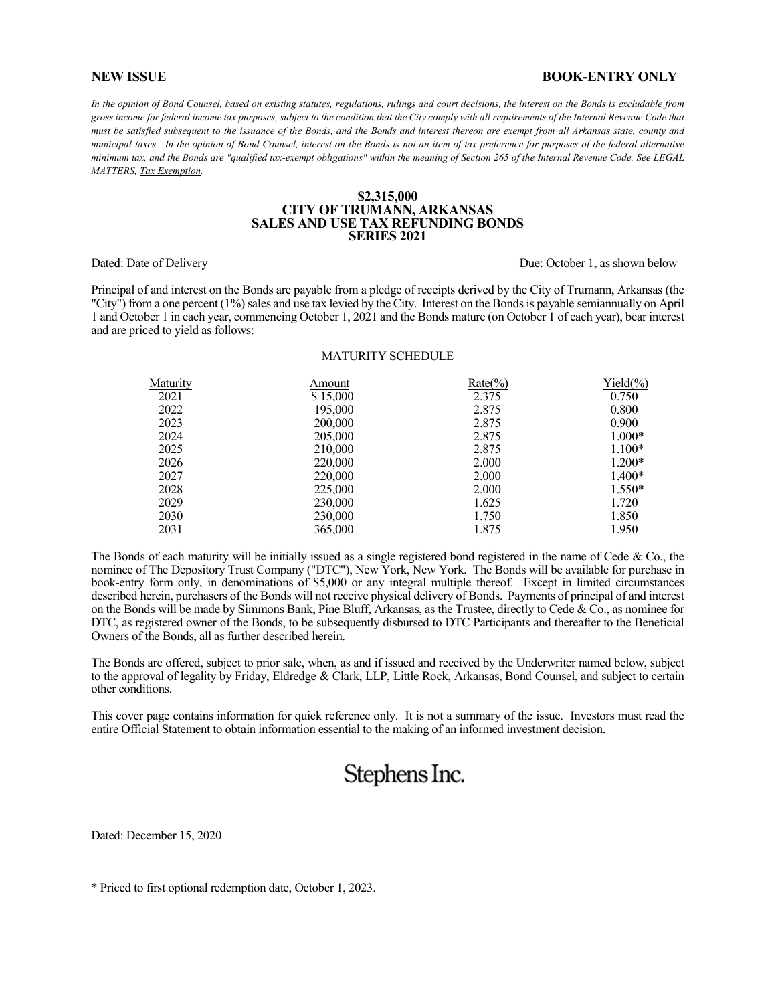#### **NEW ISSUE BOOK-ENTRY ONLY**

In the opinion of Bond Counsel, based on existing statutes, regulations, rulings and court decisions, the interest on the Bonds is excludable from *gross income for federal income tax purposes, subject to the condition that the City comply with all requirements of the Internal Revenue Code that must be satisfied subsequent to the issuance of the Bonds, and the Bonds and interest thereon are exempt from all Arkansas state, county and municipal taxes. In the opinion of Bond Counsel, interest on the Bonds is not an item of tax preference for purposes of the federal alternative minimum tax, and the Bonds are "qualified tax-exempt obligations" within the meaning of Section 265 of the Internal Revenue Code. See LEGAL MATTERS, Tax Exemption.*

#### **\$2,315,000 CITY OF TRUMANN, ARKANSAS SALES AND USE TAX REFUNDING BONDS SERIES 2021**

Dated: Date of Delivery Due: October 1, as shown below Due: October 1, as shown below

Principal of and interest on the Bonds are payable from a pledge of receipts derived by the City of Trumann, Arkansas (the "City") from a one percent (1%) sales and use tax levied by the City. Interest on the Bonds is payable semiannually on April 1 and October 1 in each year, commencing October 1, 2021 and the Bonds mature (on October 1 of each year), bear interest and are priced to yield as follows:

#### MATURITY SCHEDULE

| Maturity | Amount   | $Rate(\%)$ | $Yield(\%)$ |
|----------|----------|------------|-------------|
| 2021     | \$15,000 | 2.375      | 0.750       |
| 2022     | 195,000  | 2.875      | 0.800       |
| 2023     | 200,000  | 2.875      | 0.900       |
| 2024     | 205,000  | 2.875      | $1.000*$    |
| 2025     | 210,000  | 2.875      | $1.100*$    |
| 2026     | 220,000  | 2.000      | $1.200*$    |
| 2027     | 220,000  | 2.000      | $1.400*$    |
| 2028     | 225,000  | 2.000      | $1.550*$    |
| 2029     | 230,000  | 1.625      | 1.720       |
| 2030     | 230,000  | 1.750      | 1.850       |
| 2031     | 365,000  | 1.875      | 1.950       |

The Bonds of each maturity will be initially issued as a single registered bond registered in the name of Cede & Co., the nominee of The Depository Trust Company ("DTC"), New York, New York. The Bonds will be available for purchase in book-entry form only, in denominations of \$5,000 or any integral multiple thereof. Except in limited circumstances described herein, purchasers of the Bonds will not receive physical delivery of Bonds. Payments of principal of and interest on the Bonds will be made by Simmons Bank, Pine Bluff, Arkansas, as the Trustee, directly to Cede & Co., as nominee for DTC, as registered owner of the Bonds, to be subsequently disbursed to DTC Participants and thereafter to the Beneficial Owners of the Bonds, all as further described herein.

The Bonds are offered, subject to prior sale, when, as and if issued and received by the Underwriter named below, subject to the approval of legality by Friday, Eldredge & Clark, LLP, Little Rock, Arkansas, Bond Counsel, and subject to certain other conditions.

This cover page contains information for quick reference only. It is not a summary of the issue. Investors must read the entire Official Statement to obtain information essential to the making of an informed investment decision.

# Stephens Inc.

Dated: December 15, 2020

 $\overline{a}$ 

<sup>\*</sup> Priced to first optional redemption date, October 1, 2023.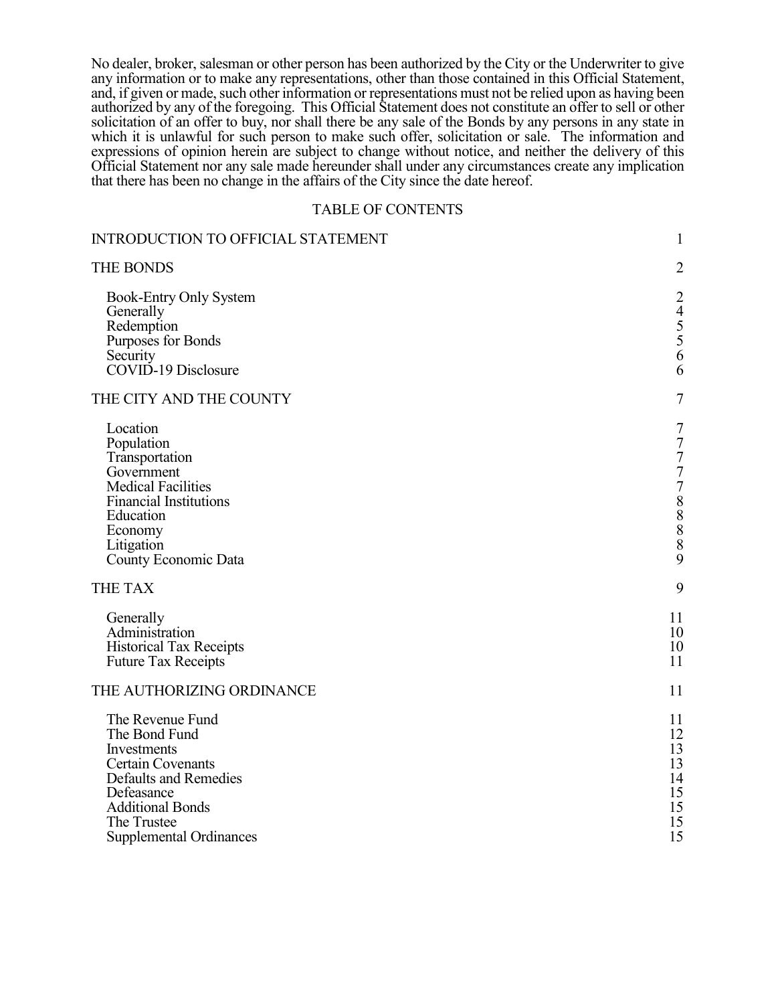No dealer, broker, salesman or other person has been authorized by the City or the Underwriter to give any information or to make any representations, other than those contained in this Official Statement, and, if given or made, such other information or representations must not be relied upon as having been authorized by any of the foregoing. This Official Statement does not constitute an offer to sell or other solicitation of an offer to buy, nor shall there be any sale of the Bonds by any persons in any state in which it is unlawful for such person to make such offer, solicitation or sale. The information and expressions of opinion herein are subject to change without notice, and neither the delivery of this Official Statement nor any sale made hereunder shall under any circumstances create any implication that there has been no change in the affairs of the City since the date hereof.

# TABLE OF CONTENTS

| <b>INTRODUCTION TO OFFICIAL STATEMENT</b>                                                                                                                                                       | $\mathbf{1}$                                                                                                               |
|-------------------------------------------------------------------------------------------------------------------------------------------------------------------------------------------------|----------------------------------------------------------------------------------------------------------------------------|
| THE BONDS                                                                                                                                                                                       | $\overline{2}$                                                                                                             |
| Book-Entry Only System<br>Generally<br>Redemption<br>Purposes for Bonds<br>Security<br>COVID-19 Disclosure                                                                                      | $\overline{2}$<br>$\begin{array}{c} 4 \\ 5 \\ 5 \\ 6 \end{array}$<br>6                                                     |
| THE CITY AND THE COUNTY                                                                                                                                                                         | $\overline{7}$                                                                                                             |
| Location<br>Population<br>Transportation<br>Government<br><b>Medical Facilities</b><br><b>Financial Institutions</b><br>Education<br>Economy<br>Litigation<br>County Economic Data              | $\boldsymbol{7}$<br>$\begin{array}{c} 7 \\ 7 \\ 7 \\ 7 \end{array}$<br>$\begin{array}{c}\n 8 \\ 8 \\ 8\n \end{array}$<br>9 |
| THE TAX                                                                                                                                                                                         | 9                                                                                                                          |
| Generally<br>Administration<br><b>Historical Tax Receipts</b><br><b>Future Tax Receipts</b>                                                                                                     | 11<br>10<br>10<br>11                                                                                                       |
| THE AUTHORIZING ORDINANCE                                                                                                                                                                       | 11                                                                                                                         |
| The Revenue Fund<br>The Bond Fund<br>Investments<br><b>Certain Covenants</b><br>Defaults and Remedies<br>Defeasance<br><b>Additional Bonds</b><br>The Trustee<br><b>Supplemental Ordinances</b> | 11<br>12<br>13<br>13<br>14<br>15<br>15<br>15<br>15                                                                         |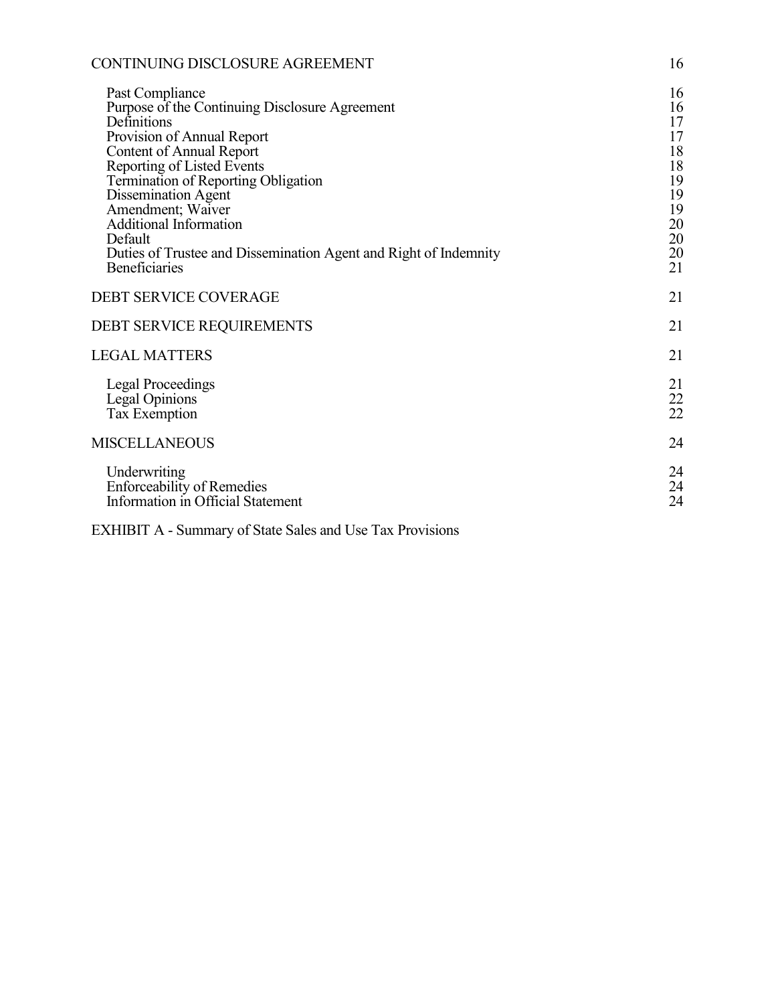| CONTINUING DISCLOSURE AGREEMENT                                                                                                                                                                                                                                                                                                                                                                            | 16                                                                         |
|------------------------------------------------------------------------------------------------------------------------------------------------------------------------------------------------------------------------------------------------------------------------------------------------------------------------------------------------------------------------------------------------------------|----------------------------------------------------------------------------|
| Past Compliance<br>Purpose of the Continuing Disclosure Agreement<br>Definitions<br>Provision of Annual Report<br><b>Content of Annual Report</b><br>Reporting of Listed Events<br>Termination of Reporting Obligation<br>Dissemination Agent<br>Amendment; Waiver<br><b>Additional Information</b><br>Default<br>Duties of Trustee and Dissemination Agent and Right of Indemnity<br><b>Beneficiaries</b> | 16<br>16<br>17<br>17<br>18<br>18<br>19<br>19<br>19<br>20<br>20<br>20<br>21 |
| <b>DEBT SERVICE COVERAGE</b>                                                                                                                                                                                                                                                                                                                                                                               | 21                                                                         |
| DEBT SERVICE REQUIREMENTS                                                                                                                                                                                                                                                                                                                                                                                  | 21                                                                         |
| <b>LEGAL MATTERS</b>                                                                                                                                                                                                                                                                                                                                                                                       | 21                                                                         |
| Legal Proceedings<br>Legal Opinions<br>Tax Exemption                                                                                                                                                                                                                                                                                                                                                       | 21<br>$\frac{22}{22}$                                                      |
| <b>MISCELLANEOUS</b>                                                                                                                                                                                                                                                                                                                                                                                       | 24                                                                         |
| Underwriting<br><b>Enforceability of Remedies</b><br>Information in Official Statement                                                                                                                                                                                                                                                                                                                     | 24<br>24<br>24                                                             |

EXHIBIT A - Summary of State Sales and Use Tax Provisions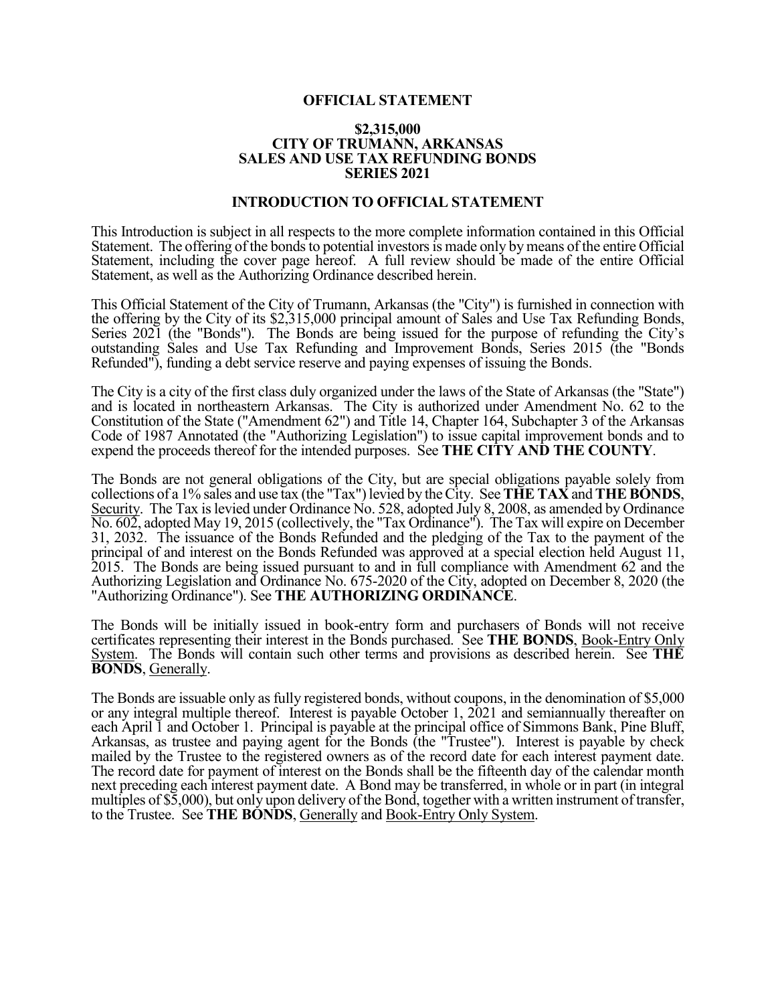# **OFFICIAL STATEMENT**

#### **\$2,315,000 CITY OF TRUMANN, ARKANSAS SALES AND USE TAX REFUNDING BONDS SERIES 2021**

# **INTRODUCTION TO OFFICIAL STATEMENT**

This Introduction is subject in all respects to the more complete information contained in this Official Statement. The offering of the bonds to potential investors is made only by means of the entire Official Statement, including the cover page hereof. A full review should be made of the entire Official Statement, as well as the Authorizing Ordinance described herein.

This Official Statement of the City of Trumann, Arkansas (the "City") is furnished in connection with the offering by the City of its \$2,315,000 principal amount of Sales and Use Tax Refunding Bonds, Series 2021 (the "Bonds"). The Bonds are being issued for the purpose of refunding the City's outstanding Sales and Use Tax Refunding and Improvement Bonds, Series 2015 (the "Bonds Refunded"), funding a debt service reserve and paying expenses of issuing the Bonds.

The City is a city of the first class duly organized under the laws of the State of Arkansas (the "State") and is located in northeastern Arkansas. The City is authorized under Amendment No. 62 to the Constitution of the State ("Amendment 62") and Title 14, Chapter 164, Subchapter 3 of the Arkansas Code of 1987 Annotated (the "Authorizing Legislation") to issue capital improvement bonds and to expend the proceeds thereof for the intended purposes. See **THE CITY AND THE COUNTY**.

The Bonds are not general obligations of the City, but are special obligations payable solely from collections of a 1% sales and use tax (the "Tax") levied by the City. See **THE TAX** and **THE BONDS**, Security. The Tax is levied under Ordinance No. 528, adopted July 8, 2008, as amended by Ordinance No. 602, adopted May 19, 2015 (collectively, the "Tax Ordinance"). The Tax will expire on December 31, 2032. The issuance of the Bonds Refunded and the pledging of the Tax to the payment of the principal of and interest on the Bonds Refunded was approved at a special election held August 11, 2015. The Bonds are being issued pursuant to and in full compliance with Amendment 62 and the Authorizing Legislation and Ordinance No. 675-2020 of the City, adopted on December 8, 2020 (the "Authorizing Ordinance"). See **THE AUTHORIZING ORDINANCE**.

The Bonds will be initially issued in book-entry form and purchasers of Bonds will not receive certificates representing their interest in the Bonds purchased. See **THE BONDS**, Book-Entry Only System. The Bonds will contain such other terms and provisions as described herein. See **THE BONDS**, Generally.

The Bonds are issuable only as fully registered bonds, without coupons, in the denomination of \$5,000 or any integral multiple thereof. Interest is payable October 1, 2021 and semiannually thereafter on each April I and October 1. Principal is payable at the principal office of Simmons Bank, Pine Bluff, Arkansas, as trustee and paying agent for the Bonds (the "Trustee"). Interest is payable by check mailed by the Trustee to the registered owners as of the record date for each interest payment date. The record date for payment of interest on the Bonds shall be the fifteenth day of the calendar month next preceding each interest payment date. A Bond may be transferred, in whole or in part (in integral multiples of \$5,000), but only upon delivery of the Bond, together with a written instrument of transfer, to the Trustee. See **THE BONDS**, Generally and Book-Entry Only System.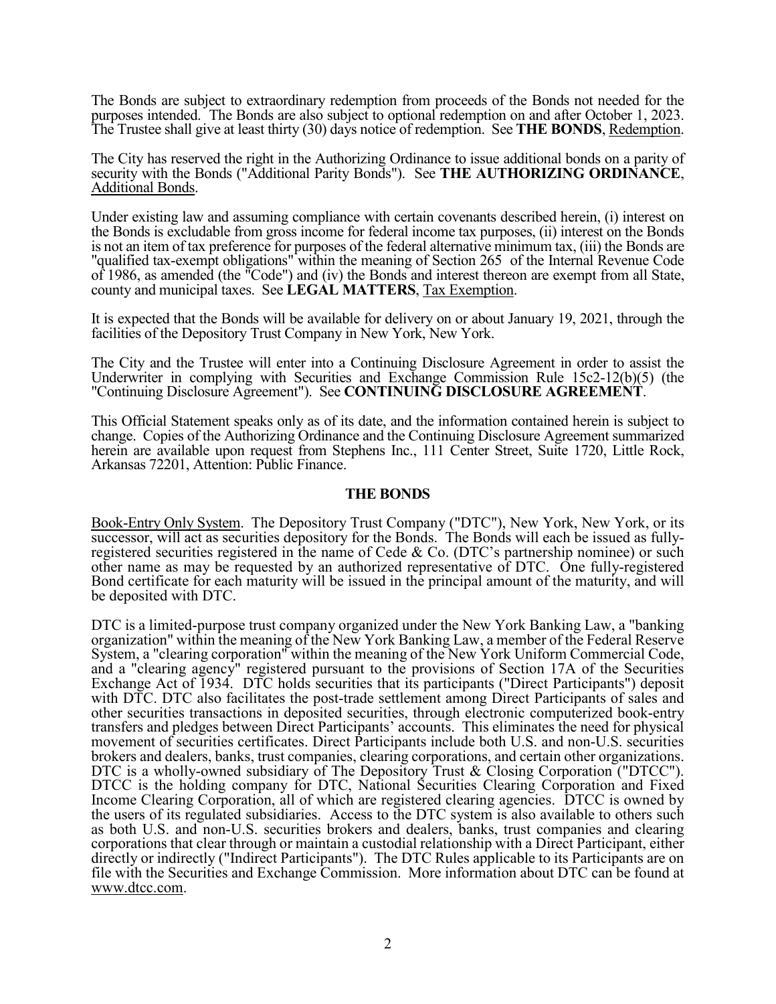The Bonds are subject to extraordinary redemption from proceeds of the Bonds not needed for the purposes intended. The Bonds are also subject to optional redemption on and after October 1, 2023. The Trustee shall give at least thirty (30) days notice of redemption. See **THE BONDS**, Redemption.

The City has reserved the right in the Authorizing Ordinance to issue additional bonds on a parity of security with the Bonds ("Additional Parity Bonds"). See **THE AUTHORIZING ORDINANCE**, Additional Bonds.

Under existing law and assuming compliance with certain covenants described herein, (i) interest on the Bonds is excludable from gross income for federal income tax purposes, (ii) interest on the Bonds is not an item of tax preference for purposes of the federal alternative minimum tax, (iii) the Bonds are "qualified tax-exempt obligations" within the meaning of Section 265 of the Internal Revenue Code of 1986, as amended (the "Code") and (iv) the Bonds and interest thereon are exempt from all State, county and municipal taxes. See **LEGAL MATTERS**, Tax Exemption.

It is expected that the Bonds will be available for delivery on or about January 19, 2021, through the facilities of the Depository Trust Company in New York, New York.

The City and the Trustee will enter into a Continuing Disclosure Agreement in order to assist the Underwriter in complying with Securities and Exchange Commission Rule 15c2-12(b)(5) (the "Continuing Disclosure Agreement"). See **CONTINUING DISCLOSURE AGREEMENT**.

This Official Statement speaks only as of its date, and the information contained herein is subject to change. Copies of the Authorizing Ordinance and the Continuing Disclosure Agreement summarized herein are available upon request from Stephens Inc., 111 Center Street, Suite 1720, Little Rock, Arkansas 72201, Attention: Public Finance.

# **THE BONDS**

Book-Entry Only System. The Depository Trust Company ("DTC"), New York, New York, or its successor, will act as securities depository for the Bonds. The Bonds will each be issued as fullyregistered securities registered in the name of Cede & Co. (DTC's partnership nominee) or such other name as may be requested by an authorized representative of DTC. One fully-registered Bond certificate for each maturity will be issued in the principal amount of the maturity, and will be deposited with DTC.

DTC is a limited-purpose trust company organized under the New York Banking Law, a "banking organization" within the meaning of the New York Banking Law, a member of the Federal Reserve System, a "clearing corporation" within the meaning of the New York Uniform Commercial Code, and a "clearing agency" registered pursuant to the provisions of Section 17A of the Securities Exchange Act of 1934. DTC holds securities that its participants ("Direct Participants") deposit with DTC. DTC also facilitates the post-trade settlement among Direct Participants of sales and other securities transactions in deposited securities, through electronic computerized book-entry transfers and pledges between Direct Participants' accounts. This eliminates the need for physical movement of securities certificates. Direct Participants include both U.S. and non-U.S. securities brokers and dealers, banks, trust companies, clearing corporations, and certain other organizations. DTC is a wholly-owned subsidiary of The Depository Trust & Closing Corporation ("DTCC"). DTCC is the holding company for DTC, National Securities Clearing Corporation and Fixed Income Clearing Corporation, all of which are registered clearing agencies. DTCC is owned by the users of its regulated subsidiaries. Access to the DTC system is also available to others such as both U.S. and non-U.S. securities brokers and dealers, banks, trust companies and clearing corporations that clear through or maintain a custodial relationship with a Direct Participant, either directly or indirectly ("Indirect Participants"). The DTC Rules applicable to its Participants are on file with the Securities and Exchange Commission. More information about DTC can be found at www.dtcc.com.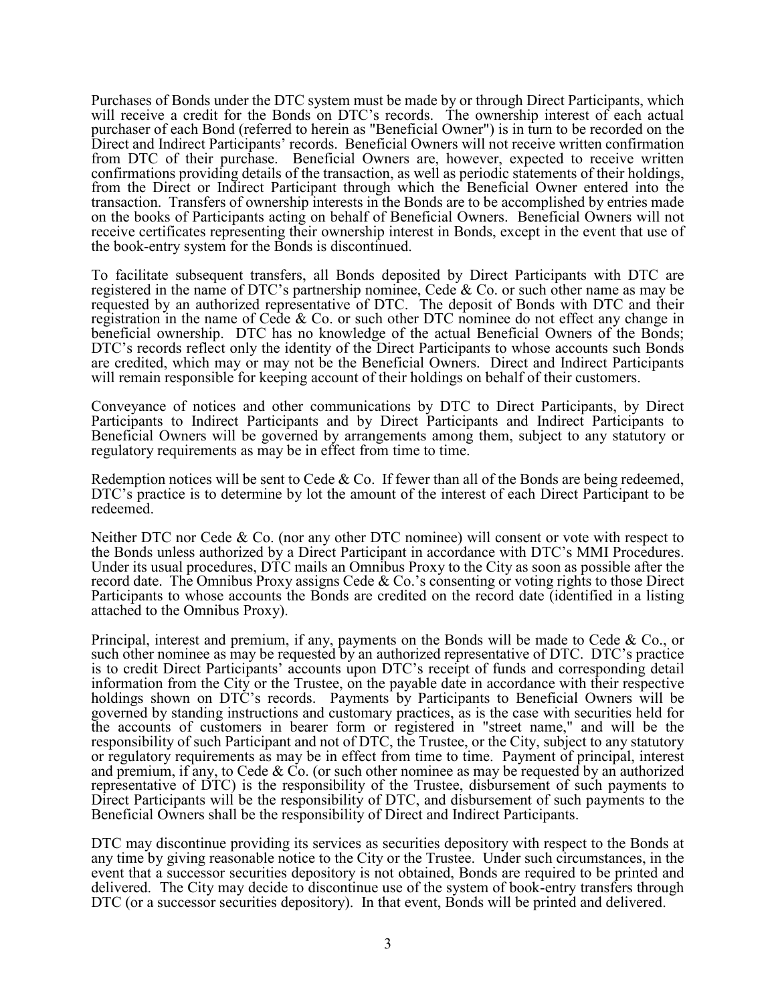Purchases of Bonds under the DTC system must be made by or through Direct Participants, which will receive a credit for the Bonds on DTC's records. The ownership interest of each actual purchaser of each Bond (referred to herein as "Beneficial Owner") is in turn to be recorded on the Direct and Indirect Participants' records. Beneficial Owners will not receive written confirmation from DTC of their purchase. Beneficial Owners are, however, expected to receive written confirmations providing details of the transaction, as well as periodic statements of their holdings, from the Direct or Indirect Participant through which the Beneficial Owner entered into the transaction. Transfers of ownership interests in the Bonds are to be accomplished by entries made on the books of Participants acting on behalf of Beneficial Owners. Beneficial Owners will not receive certificates representing their ownership interest in Bonds, except in the event that use of the book-entry system for the Bonds is discontinued.

To facilitate subsequent transfers, all Bonds deposited by Direct Participants with DTC are registered in the name of DTC's partnership nominee, Cede & Co. or such other name as may be requested by an authorized representative of DTC. The deposit of Bonds with DTC and their registration in the name of Cede & Co. or such other DTC nominee do not effect any change in beneficial ownership. DTC has no knowledge of the actual Beneficial Owners of the Bonds; DTC's records reflect only the identity of the Direct Participants to whose accounts such Bonds are credited, which may or may not be the Beneficial Owners. Direct and Indirect Participants will remain responsible for keeping account of their holdings on behalf of their customers.

Conveyance of notices and other communications by DTC to Direct Participants, by Direct Participants to Indirect Participants and by Direct Participants and Indirect Participants to Beneficial Owners will be governed by arrangements among them, subject to any statutory or regulatory requirements as may be in effect from time to time.

Redemption notices will be sent to Cede  $&$  Co. If fewer than all of the Bonds are being redeemed, DTC's practice is to determine by lot the amount of the interest of each Direct Participant to be redeemed.

Neither DTC nor Cede & Co. (nor any other DTC nominee) will consent or vote with respect to the Bonds unless authorized by a Direct Participant in accordance with DTC's MMI Procedures. Under its usual procedures, DTC mails an Omnibus Proxy to the City as soon as possible after the record date. The Omnibus Proxy assigns Cede & Co.'s consenting or voting rights to those Direct Participants to whose accounts the Bonds are credited on the record date (identified in a listing attached to the Omnibus Proxy).

Principal, interest and premium, if any, payments on the Bonds will be made to Cede & Co., or such other nominee as may be requested by an authorized representative of DTC. DTC's practice is to credit Direct Participants' accounts upon DTC's receipt of funds and corresponding detail information from the City or the Trustee, on the payable date in accordance with their respective holdings shown on DTC's records. Payments by Participants to Beneficial Owners will be governed by standing instructions and customary practices, as is the case with securities held for the accounts of customers in bearer form or registered in "street name," and will be the responsibility of such Participant and not of DTC, the Trustee, or the City, subject to any statutory or regulatory requirements as may be in effect from time to time. Payment of principal, interest and premium, if any, to Cede & Co. (or such other nominee as may be requested by an authorized representative of DTC) is the responsibility of the Trustee, disbursement of such payments to Direct Participants will be the responsibility of DTC, and disbursement of such payments to the Beneficial Owners shall be the responsibility of Direct and Indirect Participants.

DTC may discontinue providing its services as securities depository with respect to the Bonds at any time by giving reasonable notice to the City or the Trustee. Under such circumstances, in the event that a successor securities depository is not obtained, Bonds are required to be printed and delivered. The City may decide to discontinue use of the system of book-entry transfers through DTC (or a successor securities depository). In that event, Bonds will be printed and delivered.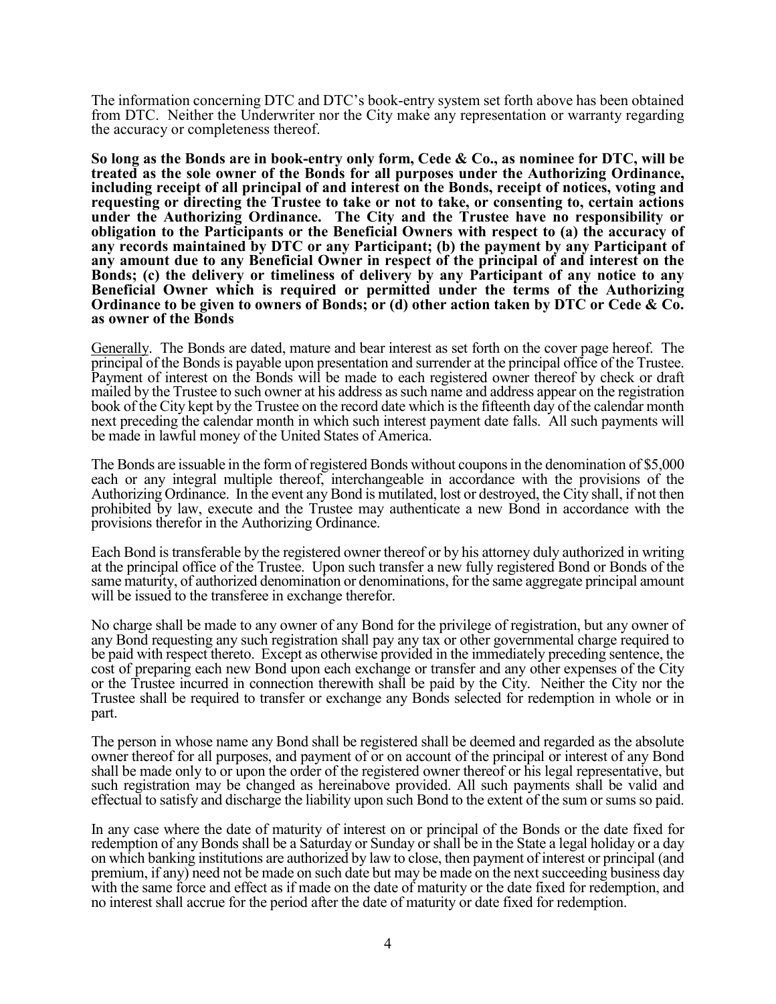The information concerning DTC and DTC's book-entry system set forth above has been obtained from DTC. Neither the Underwriter nor the City make any representation or warranty regarding the accuracy or completeness thereof.

**So long as the Bonds are in book-entry only form, Cede & Co., as nominee for DTC, will be treated as the sole owner of the Bonds for all purposes under the Authorizing Ordinance, including receipt of all principal of and interest on the Bonds, receipt of notices, voting and requesting or directing the Trustee to take or not to take, or consenting to, certain actions under the Authorizing Ordinance. The City and the Trustee have no responsibility or obligation to the Participants or the Beneficial Owners with respect to (a) the accuracy of any records maintained by DTC or any Participant; (b) the payment by any Participant of any amount due to any Beneficial Owner in respect of the principal of and interest on the Bonds; (c) the delivery or timeliness of delivery by any Participant of any notice to any Beneficial Owner which is required or permitted under the terms of the Authorizing Ordinance to be given to owners of Bonds; or (d) other action taken by DTC or Cede & Co. as owner of the Bonds** 

Generally. The Bonds are dated, mature and bear interest as set forth on the cover page hereof. The principal of the Bonds is payable upon presentation and surrender at the principal office of the Trustee. Payment of interest on the Bonds will be made to each registered owner thereof by check or draft mailed by the Trustee to such owner at his address as such name and address appear on the registration book of the City kept by the Trustee on the record date which is the fifteenth day of the calendar month next preceding the calendar month in which such interest payment date falls. All such payments will be made in lawful money of the United States of America.

The Bonds are issuable in the form of registered Bonds without coupons in the denomination of \$5,000 each or any integral multiple thereof, interchangeable in accordance with the provisions of the Authorizing Ordinance. In the event any Bond is mutilated, lost or destroyed, the City shall, if not then prohibited by law, execute and the Trustee may authenticate a new Bond in accordance with the provisions therefor in the Authorizing Ordinance.

Each Bond is transferable by the registered owner thereof or by his attorney duly authorized in writing at the principal office of the Trustee. Upon such transfer a new fully registered Bond or Bonds of the same maturity, of authorized denomination or denominations, for the same aggregate principal amount will be issued to the transferee in exchange therefor.

No charge shall be made to any owner of any Bond for the privilege of registration, but any owner of any Bond requesting any such registration shall pay any tax or other governmental charge required to be paid with respect thereto. Except as otherwise provided in the immediately preceding sentence, the cost of preparing each new Bond upon each exchange or transfer and any other expenses of the City or the Trustee incurred in connection therewith shall be paid by the City. Neither the City nor the Trustee shall be required to transfer or exchange any Bonds selected for redemption in whole or in part.

The person in whose name any Bond shall be registered shall be deemed and regarded as the absolute owner thereof for all purposes, and payment of or on account of the principal or interest of any Bond shall be made only to or upon the order of the registered owner thereof or his legal representative, but such registration may be changed as hereinabove provided. All such payments shall be valid and effectual to satisfy and discharge the liability upon such Bond to the extent of the sum or sums so paid.

In any case where the date of maturity of interest on or principal of the Bonds or the date fixed for redemption of any Bonds shall be a Saturday or Sunday or shall be in the State a legal holiday or a day on which banking institutions are authorized by law to close, then payment of interest or principal (and premium, if any) need not be made on such date but may be made on the next succeeding business day with the same force and effect as if made on the date of maturity or the date fixed for redemption, and no interest shall accrue for the period after the date of maturity or date fixed for redemption.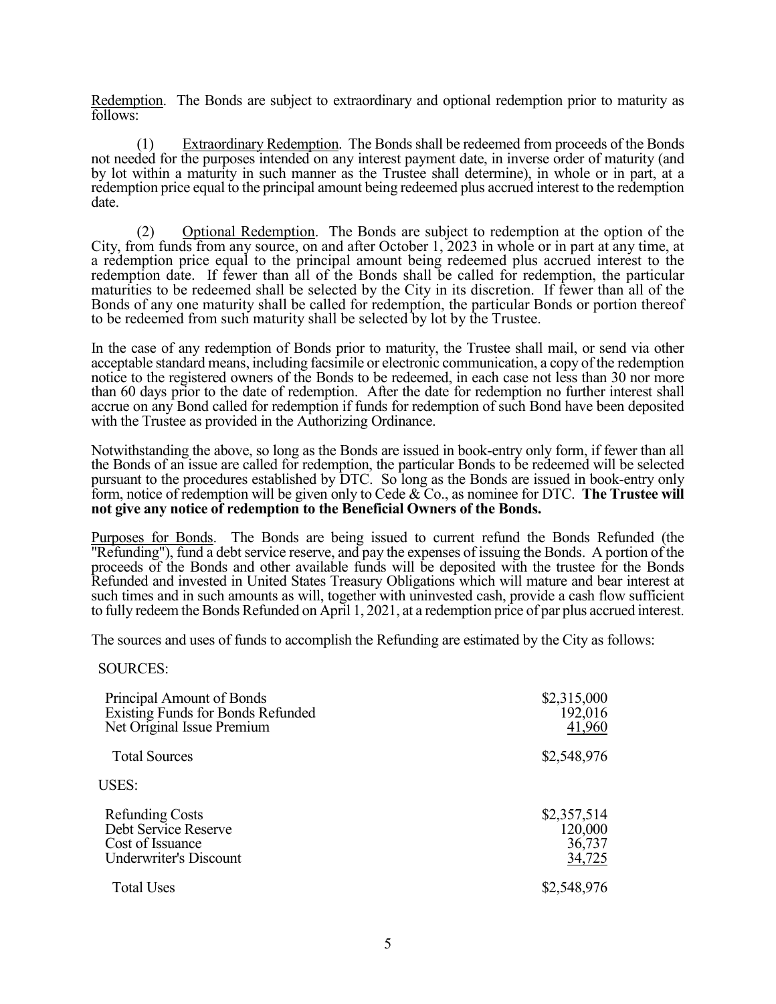Redemption. The Bonds are subject to extraordinary and optional redemption prior to maturity as follows:

 (1) Extraordinary Redemption. The Bonds shall be redeemed from proceeds of the Bonds not needed for the purposes intended on any interest payment date, in inverse order of maturity (and by lot within a maturity in such manner as the Trustee shall determine), in whole or in part, at a redemption price equal to the principal amount being redeemed plus accrued interest to the redemption date.

 (2) Optional Redemption. The Bonds are subject to redemption at the option of the City, from funds from any source, on and after October 1, 2023 in whole or in part at any time, at a redemption price equal to the principal amount being redeemed plus accrued interest to the redemption date. If fewer than all of the Bonds shall be called for redemption, the particular maturities to be redeemed shall be selected by the City in its discretion. If fewer than all of the Bonds of any one maturity shall be called for redemption, the particular Bonds or portion thereof to be redeemed from such maturity shall be selected by lot by the Trustee.

In the case of any redemption of Bonds prior to maturity, the Trustee shall mail, or send via other acceptable standard means, including facsimile or electronic communication, a copy of the redemption notice to the registered owners of the Bonds to be redeemed, in each case not less than 30 nor more than 60 days prior to the date of redemption. After the date for redemption no further interest shall accrue on any Bond called for redemption if funds for redemption of such Bond have been deposited with the Trustee as provided in the Authorizing Ordinance.

Notwithstanding the above, so long as the Bonds are issued in book-entry only form, if fewer than all the Bonds of an issue are called for redemption, the particular Bonds to be redeemed will be selected pursuant to the procedures established by DTC. So long as the Bonds are issued in book-entry only form, notice of redemption will be given only to Cede & Co., as nominee for DTC. **The Trustee will not give any notice of redemption to the Beneficial Owners of the Bonds.**

Purposes for Bonds. The Bonds are being issued to current refund the Bonds Refunded (the "Refunding"), fund a debt service reserve, and pay the expenses of issuing the Bonds. A portion of the proceeds of the Bonds and other available funds will be deposited with the trustee for the Bonds Refunded and invested in United States Treasury Obligations which will mature and bear interest at such times and in such amounts as will, together with uninvested cash, provide a cash flow sufficient to fully redeem the Bonds Refunded on April 1, 2021, at a redemption price of par plus accrued interest.

The sources and uses of funds to accomplish the Refunding are estimated by the City as follows:

#### SOURCES:

| Principal Amount of Bonds<br>Existing Funds for Bonds Refunded<br>Net Original Issue Premium        | \$2,315,000<br>192,016<br>41,960           |
|-----------------------------------------------------------------------------------------------------|--------------------------------------------|
| <b>Total Sources</b>                                                                                | \$2,548,976                                |
| <b>USES:</b>                                                                                        |                                            |
| <b>Refunding Costs</b><br>Debt Service Reserve<br>Cost of Issuance<br><b>Underwriter's Discount</b> | \$2,357,514<br>120,000<br>36,737<br>34,725 |
| <b>Total Uses</b>                                                                                   | \$2,548,976                                |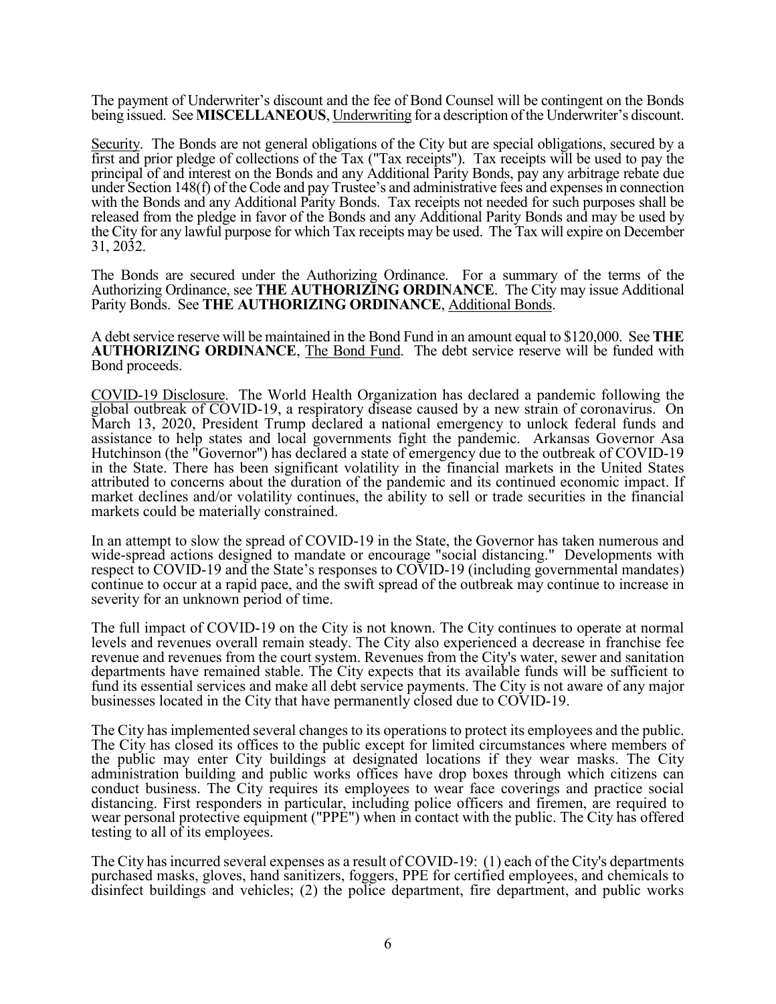The payment of Underwriter's discount and the fee of Bond Counsel will be contingent on the Bonds being issued. See **MISCELLANEOUS**, Underwriting for a description of the Underwriter's discount.

Security. The Bonds are not general obligations of the City but are special obligations, secured by a first and prior pledge of collections of the Tax ("Tax receipts"). Tax receipts will be used to pay the principal of and interest on the Bonds and any Additional Parity Bonds, pay any arbitrage rebate due under Section 148(f) of the Code and pay Trustee's and administrative fees and expenses in connection with the Bonds and any Additional Parity Bonds. Tax receipts not needed for such purposes shall be released from the pledge in favor of the Bonds and any Additional Parity Bonds and may be used by the City for any lawful purpose for which Tax receipts may be used. The Tax will expire on December 31, 2032.

The Bonds are secured under the Authorizing Ordinance. For a summary of the terms of the Authorizing Ordinance, see **THE AUTHORIZING ORDINANCE**. The City may issue Additional Parity Bonds. See **THE AUTHORIZING ORDINANCE**, Additional Bonds.

A debt service reserve will be maintained in the Bond Fund in an amount equal to \$120,000. See **THE AUTHORIZING ORDINANCE**, The Bond Fund. The debt service reserve will be funded with Bond proceeds.

COVID-19 Disclosure. The World Health Organization has declared a pandemic following the global outbreak of COVID-19, a respiratory disease caused by a new strain of coronavirus. On March 13, 2020, President Trump declared a national emergency to unlock federal funds and assistance to help states and local governments fight the pandemic. Arkansas Governor Asa Hutchinson (the "Governor") has declared a state of emergency due to the outbreak of COVID-19 in the State. There has been significant volatility in the financial markets in the United States attributed to concerns about the duration of the pandemic and its continued economic impact. If market declines and/or volatility continues, the ability to sell or trade securities in the financial markets could be materially constrained.

In an attempt to slow the spread of COVID-19 in the State, the Governor has taken numerous and wide-spread actions designed to mandate or encourage "social distancing." Developments with respect to COVID-19 and the State's responses to COVID-19 (including governmental mandates) continue to occur at a rapid pace, and the swift spread of the outbreak may continue to increase in severity for an unknown period of time.

The full impact of COVID-19 on the City is not known. The City continues to operate at normal levels and revenues overall remain steady. The City also experienced a decrease in franchise fee revenue and revenues from the court system. Revenues from the City's water, sewer and sanitation departments have remained stable. The City expects that its available funds will be sufficient to fund its essential services and make all debt service payments. The City is not aware of any major businesses located in the City that have permanently closed due to COVID-19.

The City has implemented several changes to its operations to protect its employees and the public. The City has closed its offices to the public except for limited circumstances where members of the public may enter City buildings at designated locations if they wear masks. The City administration building and public works offices have drop boxes through which citizens can conduct business. The City requires its employees to wear face coverings and practice social distancing. First responders in particular, including police officers and firemen, are required to wear personal protective equipment ("PPE") when in contact with the public. The City has offered testing to all of its employees.

The City has incurred several expenses as a result of COVID-19: (1) each of the City's departments purchased masks, gloves, hand sanitizers, foggers, PPE for certified employees, and chemicals to disinfect buildings and vehicles; (2) the police department, fire department, and public works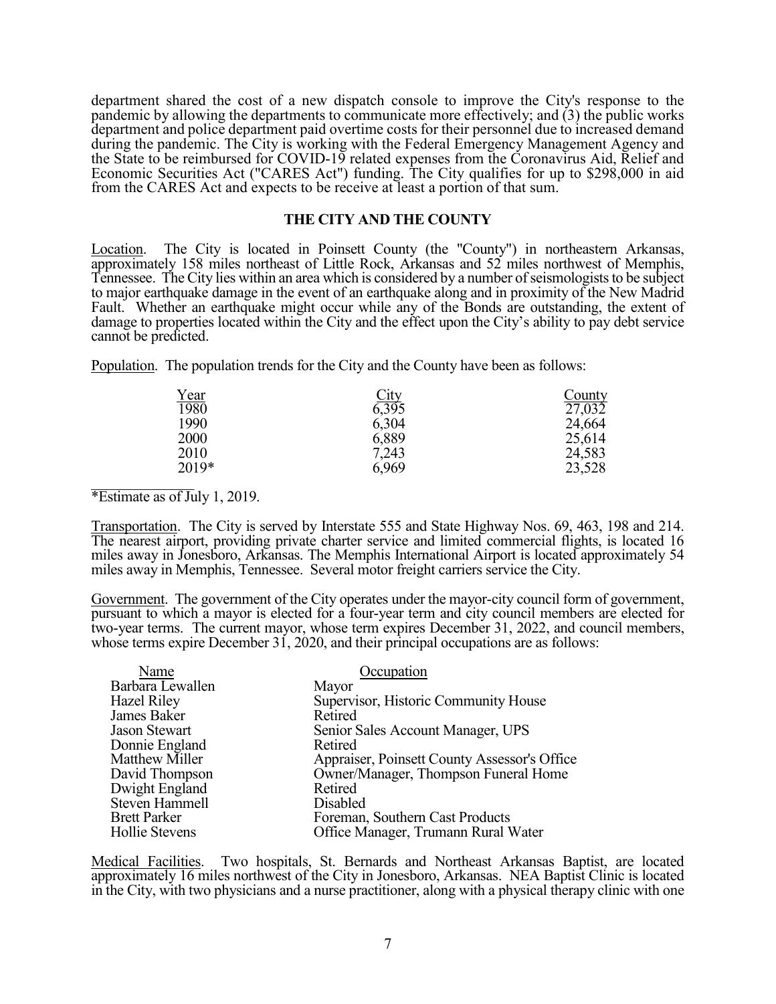department shared the cost of a new dispatch console to improve the City's response to the pandemic by allowing the departments to communicate more effectively; and (3) the public works department and police department paid overtime costs for their personnel due to increased demand during the pandemic. The City is working with the Federal Emergency Management Agency and the State to be reimbursed for COVID-19 related expenses from the Coronavirus Aid, Relief and Economic Securities Act ("CARES Act") funding. The City qualifies for up to \$298,000 in aid from the CARES Act and expects to be receive at least a portion of that sum.

# **THE CITY AND THE COUNTY**

Location. The City is located in Poinsett County (the "County") in northeastern Arkansas, approximately 158 miles northeast of Little Rock, Arkansas and 52 miles northwest of Memphis, Tennessee. The City lies within an area which is considered by a number of seismologists to be subject to major earthquake damage in the event of an earthquake along and in proximity of the New Madrid Fault. Whether an earthquake might occur while any of the Bonds are outstanding, the extent of damage to properties located within the City and the effect upon the City's ability to pay debt service cannot be predicted.

Population. The population trends for the City and the County have been as follows:

| <u>Year</u> |                      | County              |
|-------------|----------------------|---------------------|
| 1980        | $\frac{City}{6,395}$ | $\overline{27,032}$ |
| 1990        | 6,304                | 24,664              |
| 2000        | 6,889                | 25,614              |
| 2010        | 7,243                | 24,583              |
| 2019*       | 6,969                | 23,528              |
|             |                      |                     |

\*Estimate as of July 1, 2019.

Transportation. The City is served by Interstate 555 and State Highway Nos. 69, 463, 198 and 214. The nearest airport, providing private charter service and limited commercial flights, is located 16 miles away in Jonesboro, Arkansas. The Memphis International Airport is located approximately 54 miles away in Memphis, Tennessee. Several motor freight carriers service the City.

Government. The government of the City operates under the mayor-city council form of government, pursuant to which a mayor is elected for a four-year term and city council members are elected for two-year terms. The current mayor, whose term expires December 31, 2022, and council members, whose terms expire December 31, 2020, and their principal occupations are as follows:

| Occupation                                   |
|----------------------------------------------|
| Mayor                                        |
| Supervisor, Historic Community House         |
| Retired                                      |
| Senior Sales Account Manager, UPS            |
| Retired                                      |
| Appraiser, Poinsett County Assessor's Office |
| Owner/Manager, Thompson Funeral Home         |
| Retired                                      |
| Disabled                                     |
| Foreman, Southern Cast Products              |
| Office Manager, Trumann Rural Water          |
|                                              |

Medical Facilities. Two hospitals, St. Bernards and Northeast Arkansas Baptist, are located approximately 16 miles northwest of the City in Jonesboro, Arkansas. NEA Baptist Clinic is located in the City, with two physicians and a nurse practitioner, along with a physical therapy clinic with one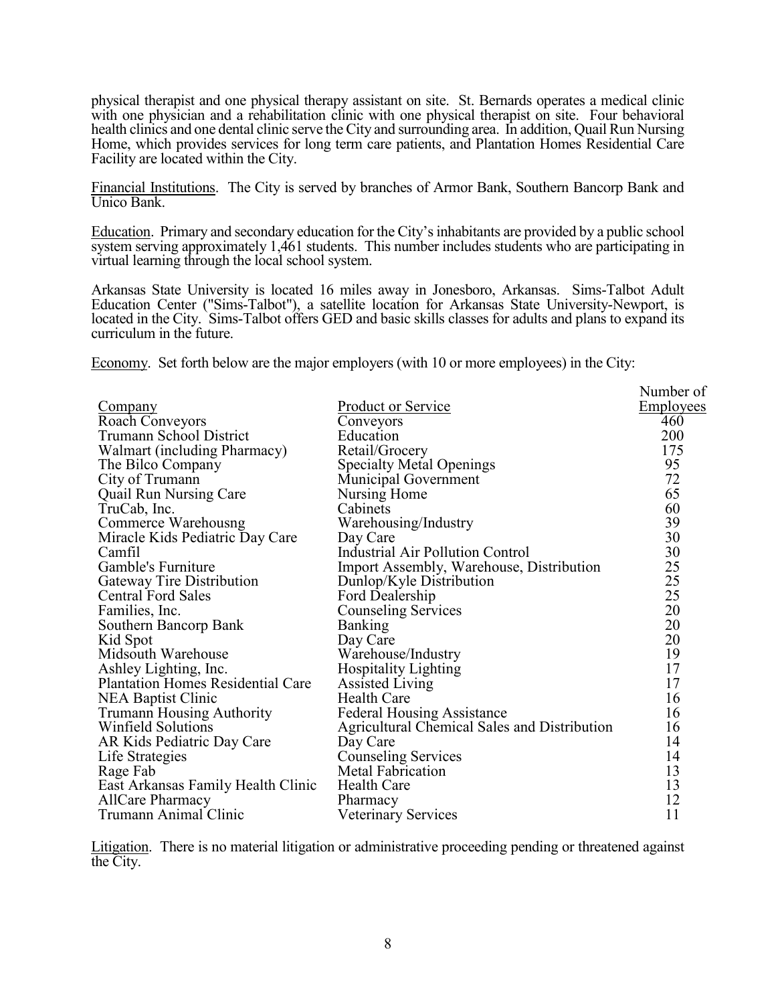physical therapist and one physical therapy assistant on site. St. Bernards operates a medical clinic with one physician and a rehabilitation clinic with one physical therapist on site. Four behavioral health clinics and one dental clinic serve the City and surrounding area. In addition, Quail Run Nursing Home, which provides services for long term care patients, and Plantation Homes Residential Care Facility are located within the City.

Financial Institutions. The City is served by branches of Armor Bank, Southern Bancorp Bank and Unico Bank.

Education. Primary and secondary education for the City's inhabitants are provided by a public school system serving approximately 1,461 students. This number includes students who are participating in virtual learning through the local school system.

Arkansas State University is located 16 miles away in Jonesboro, Arkansas. Sims-Talbot Adult Education Center ("Sims-Talbot"), a satellite location for Arkansas State University-Newport, is located in the City. Sims-Talbot offers GED and basic skills classes for adults and plans to expand its curriculum in the future.

Economy. Set forth below are the major employers (with 10 or more employees) in the City:

|                                          |                                              | Number of        |
|------------------------------------------|----------------------------------------------|------------------|
| <b>Company</b>                           | Product or Service                           | <b>Employees</b> |
| Roach Conveyors                          | Conveyors                                    | 460              |
| Trumann School District                  | Education                                    | 200              |
| Walmart (including Pharmacy)             | Retail/Grocery                               | 175              |
| The Bilco Company                        | <b>Specialty Metal Openings</b>              | 95               |
| City of Trumann                          | Municipal Government                         | 72               |
| <b>Quail Run Nursing Care</b>            | Nursing Home                                 | 65               |
| TruCab, Inc.                             | Cabinets                                     | 60               |
| Commerce Warehousng                      | Warehousing/Industry                         | 39               |
| Miracle Kids Pediatric Day Care          | Day Care                                     | 30               |
| Camfil                                   | Industrial Air Pollution Control             | 30               |
| Gamble's Furniture                       | Import Assembly, Warehouse, Distribution     | 25               |
| Gateway Tire Distribution                | Dunlop/Kyle Distribution                     | 25               |
| <b>Central Ford Sales</b>                | Ford Dealership                              | 25               |
| Families, Inc.                           | <b>Counseling Services</b>                   | 20               |
| Southern Bancorp Bank                    | Banking                                      | 20               |
| Kid Spot                                 | Day Care                                     | 20               |
| Midsouth Warehouse                       | Warehouse/Industry                           | 19               |
| Ashley Lighting, Inc.                    | Hospitality Lighting                         | 17               |
| <b>Plantation Homes Residential Care</b> | Assisted Living                              | 17               |
| <b>NEA Baptist Clinic</b>                | <b>Health Care</b>                           | 16               |
| <b>Trumann Housing Authority</b>         | <b>Federal Housing Assistance</b>            | 16               |
| <b>Winfield Solutions</b>                | Agricultural Chemical Sales and Distribution | 16               |
| AR Kids Pediatric Day Care               | Day Care                                     | 14               |
| Life Strategies                          | <b>Counseling Services</b>                   | 14               |
| Rage Fab                                 | Metal Fabrication                            | 13               |
| East Arkansas Family Health Clinic       | <b>Health Care</b>                           | 13               |
| <b>AllCare Pharmacy</b>                  | Pharmacy                                     | 12               |
| Trumann Animal Clinic                    | <b>Veterinary Services</b>                   | 11               |

Litigation. There is no material litigation or administrative proceeding pending or threatened against the City.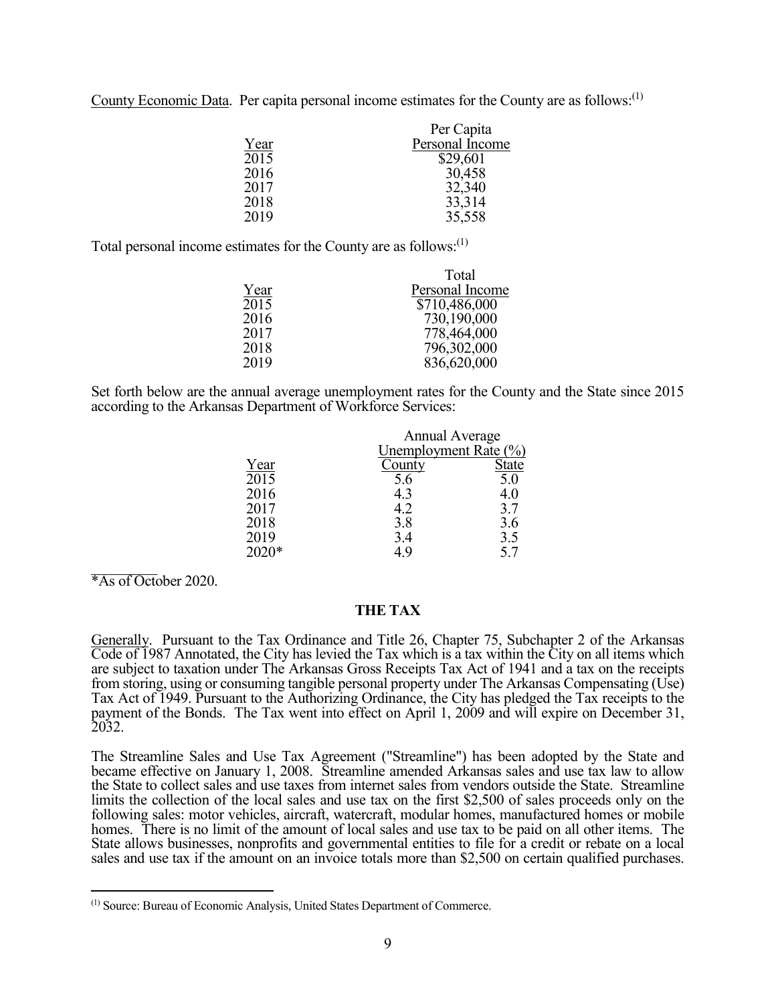County Economic Data. Per capita personal income estimates for the County are as follows:<sup>(1)</sup>

|      | Per Capita      |
|------|-----------------|
| Year | Personal Income |
| 2015 | \$29,601        |
| 2016 | 30,458          |
| 2017 | 32,340          |
| 2018 | 33,314          |
| 2019 | 35,558          |

Total personal income estimates for the County are as follows:<sup>(1)</sup>

|      | Total           |
|------|-----------------|
| Year | Personal Income |
| 2015 | \$710,486,000   |
| 2016 | 730,190,000     |
| 2017 | 778,464,000     |
| 2018 | 796,302,000     |
| 2019 | 836,620,000     |
|      |                 |

Set forth below are the annual average unemployment rates for the County and the State since 2015 according to the Arkansas Department of Workforce Services:

|       | <b>Annual Average</b> |              |
|-------|-----------------------|--------------|
|       | Unemployment Rate (%) |              |
| Year  | County                | <b>State</b> |
| 2015  | 5.6                   | 5.0          |
| 2016  | 4.3                   | 4.0          |
| 2017  | 4.2                   | 3.7          |
| 2018  | 3.8                   | 3.6          |
| 2019  | 3.4                   | 3.5          |
| 2020* | 4.9                   | 5.7          |
|       |                       |              |

\*As of October 2020.

 $\overline{a}$ 

# **THE TAX**

Generally. Pursuant to the Tax Ordinance and Title 26, Chapter 75, Subchapter 2 of the Arkansas Code of 1987 Annotated, the City has levied the Tax which is a tax within the City on all items which are subject to taxation under The Arkansas Gross Receipts Tax Act of 1941 and a tax on the receipts from storing, using or consuming tangible personal property under The Arkansas Compensating (Use) Tax Act of 1949. Pursuant to the Authorizing Ordinance, the City has pledged the Tax receipts to the payment of the Bonds. The Tax went into effect on April 1, 2009 and will expire on December 31, 2032.

The Streamline Sales and Use Tax Agreement ("Streamline") has been adopted by the State and became effective on January 1, 2008. Streamline amended Arkansas sales and use tax law to allow the State to collect sales and use taxes from internet sales from vendors outside the State. Streamline limits the collection of the local sales and use tax on the first \$2,500 of sales proceeds only on the following sales: motor vehicles, aircraft, watercraft, modular homes, manufactured homes or mobile homes. There is no limit of the amount of local sales and use tax to be paid on all other items. The State allows businesses, nonprofits and governmental entities to file for a credit or rebate on a local sales and use tax if the amount on an invoice totals more than \$2,500 on certain qualified purchases.

<sup>(1)</sup> Source: Bureau of Economic Analysis, United States Department of Commerce.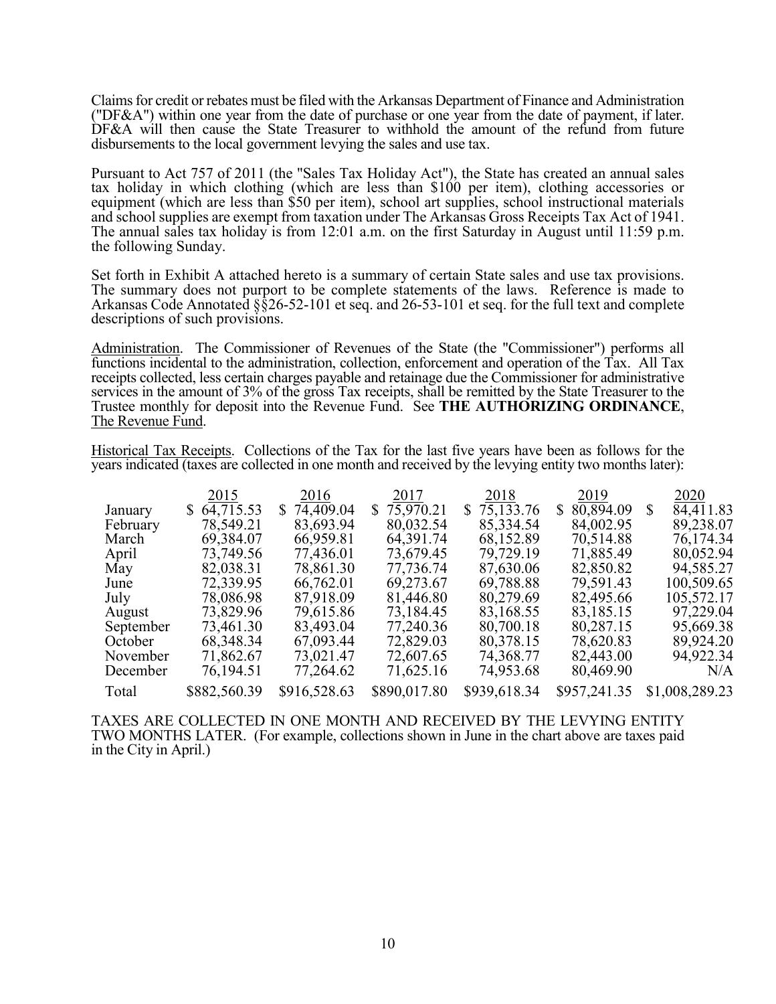Claims for credit or rebates must be filed with the Arkansas Department of Finance and Administration ("DF&A") within one year from the date of purchase or one year from the date of payment, if later. DF&A will then cause the State Treasurer to withhold the amount of the refund from future disbursements to the local government levying the sales and use tax.

Pursuant to Act 757 of 2011 (the "Sales Tax Holiday Act"), the State has created an annual sales tax holiday in which clothing (which are less than \$100 per item), clothing accessories or equipment (which are less than \$50 per item), school art supplies, school instructional materials and school supplies are exempt from taxation under The Arkansas Gross Receipts Tax Act of 1941. The annual sales tax holiday is from 12:01 a.m. on the first Saturday in August until 11:59 p.m. the following Sunday.

Set forth in Exhibit A attached hereto is a summary of certain State sales and use tax provisions. The summary does not purport to be complete statements of the laws. Reference is made to Arkansas Code Annotated §§26-52-101 et seq. and 26-53-101 et seq. for the full text and complete descriptions of such provisions.

Administration. The Commissioner of Revenues of the State (the "Commissioner") performs all functions incidental to the administration, collection, enforcement and operation of the Tax. All Tax receipts collected, less certain charges payable and retainage due the Commissioner for administrative services in the amount of 3% of the gross Tax receipts, shall be remitted by the State Treasurer to the Trustee monthly for deposit into the Revenue Fund. See **THE AUTHORIZING ORDINANCE**, The Revenue Fund.

Historical Tax Receipts. Collections of the Tax for the last five years have been as follows for the years indicated (taxes are collected in one month and received by the levying entity two months later):

|           | 2015            | 2016         | 2017         | 2018         | 2019            | 2020           |
|-----------|-----------------|--------------|--------------|--------------|-----------------|----------------|
| January   | 64,715.53<br>S. | \$74,409.04  | \$75,970.21  | \$75,133.76  | 80,894.09<br>S. | 84,411.83<br>S |
| February  | 78,549.21       | 83,693.94    | 80,032.54    | 85,334.54    | 84,002.95       | 89,238.07      |
| March     | 69,384.07       | 66,959.81    | 64, 391. 74  | 68,152.89    | 70,514.88       | 76,174.34      |
| April     | 73,749.56       | 77,436.01    | 73,679.45    | 79,729.19    | 71,885.49       | 80,052.94      |
| May       | 82,038.31       | 78,861.30    | 77,736.74    | 87,630.06    | 82,850.82       | 94,585.27      |
| June      | 72,339.95       | 66,762.01    | 69,273.67    | 69,788.88    | 79,591.43       | 100,509.65     |
| July      | 78,086.98       | 87,918.09    | 81,446.80    | 80,279.69    | 82,495.66       | 105,572.17     |
| August    | 73,829.96       | 79,615.86    | 73,184.45    | 83,168.55    | 83,185.15       | 97,229.04      |
| September | 73,461.30       | 83,493.04    | 77,240.36    | 80,700.18    | 80,287.15       | 95,669.38      |
| October   | 68,348.34       | 67,093.44    | 72,829.03    | 80,378.15    | 78,620.83       | 89,924.20      |
| November  | 71,862.67       | 73,021.47    | 72,607.65    | 74,368.77    | 82,443.00       | 94,922.34      |
| December  | 76,194.51       | 77,264.62    | 71,625.16    | 74,953.68    | 80,469.90       | N/A            |
| Total     | \$882,560.39    | \$916,528.63 | \$890,017.80 | \$939,618.34 | \$957,241.35    | \$1,008,289.23 |

TAXES ARE COLLECTED IN ONE MONTH AND RECEIVED BY THE LEVYING ENTITY TWO MONTHS LATER. (For example, collections shown in June in the chart above are taxes paid in the City in April.)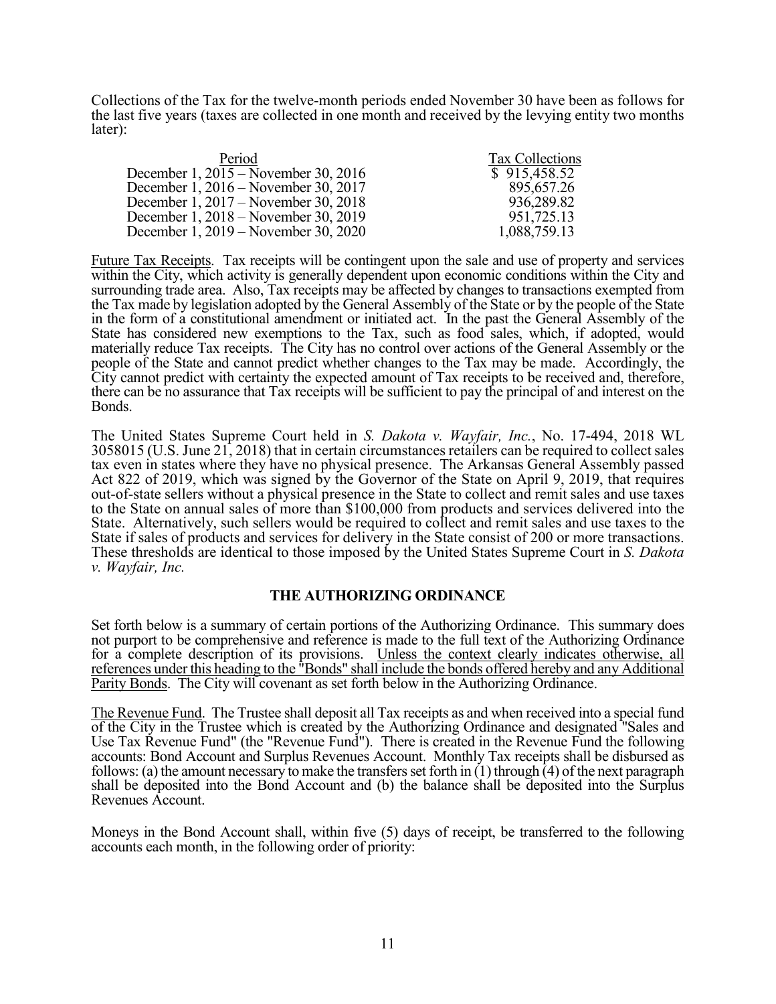Collections of the Tax for the twelve-month periods ended November 30 have been as follows for the last five years (taxes are collected in one month and received by the levying entity two months later):

| Period                               | Tax Collections |
|--------------------------------------|-----------------|
| December 1, 2015 – November 30, 2016 | \$915,458.52    |
| December 1, 2016 – November 30, 2017 | 895,657.26      |
| December 1, 2017 – November 30, 2018 | 936,289.82      |
| December 1, 2018 – November 30, 2019 | 951,725.13      |
| December 1, 2019 – November 30, 2020 | 1,088,759.13    |

Future Tax Receipts. Tax receipts will be contingent upon the sale and use of property and services within the City, which activity is generally dependent upon economic conditions within the City and surrounding trade area. Also, Tax receipts may be affected by changes to transactions exempted from the Tax made by legislation adopted by the General Assembly of the State or by the people of the State in the form of a constitutional amendment or initiated act. In the past the General Assembly of the State has considered new exemptions to the Tax, such as food sales, which, if adopted, would materially reduce Tax receipts. The City has no control over actions of the General Assembly or the people of the State and cannot predict whether changes to the Tax may be made. Accordingly, the City cannot predict with certainty the expected amount of Tax receipts to be received and, therefore, there can be no assurance that Tax receipts will be sufficient to pay the principal of and interest on the Bonds.

The United States Supreme Court held in *S. Dakota v. Wayfair, Inc.*, No. 17-494, 2018 WL 3058015 (U.S. June 21, 2018) that in certain circumstances retailers can be required to collect sales tax even in states where they have no physical presence. The Arkansas General Assembly passed Act 822 of 2019, which was signed by the Governor of the State on April 9, 2019, that requires out-of-state sellers without a physical presence in the State to collect and remit sales and use taxes to the State on annual sales of more than \$100,000 from products and services delivered into the State. Alternatively, such sellers would be required to collect and remit sales and use taxes to the State if sales of products and services for delivery in the State consist of 200 or more transactions. These thresholds are identical to those imposed by the United States Supreme Court in *S. Dakota v. Wayfair, Inc.*

# **THE AUTHORIZING ORDINANCE**

Set forth below is a summary of certain portions of the Authorizing Ordinance. This summary does not purport to be comprehensive and reference is made to the full text of the Authorizing Ordinance for a complete description of its provisions. Unless the context clearly indicates otherwise, all references under this heading to the "Bonds" shall include the bonds offered hereby and any Additional Parity Bonds. The City will covenant as set forth below in the Authorizing Ordinance.

The Revenue Fund. The Trustee shall deposit all Tax receipts as and when received into a special fund of the City in the Trustee which is created by the Authorizing Ordinance and designated "Sales and Use Tax Revenue Fund" (the "Revenue Fund"). There is created in the Revenue Fund the following accounts: Bond Account and Surplus Revenues Account. Monthly Tax receipts shall be disbursed as follows: (a) the amount necessary to make the transfers set forth in  $(1)$  through  $(4)$  of the next paragraph shall be deposited into the Bond Account and (b) the balance shall be deposited into the Surplus Revenues Account.

Moneys in the Bond Account shall, within five (5) days of receipt, be transferred to the following accounts each month, in the following order of priority: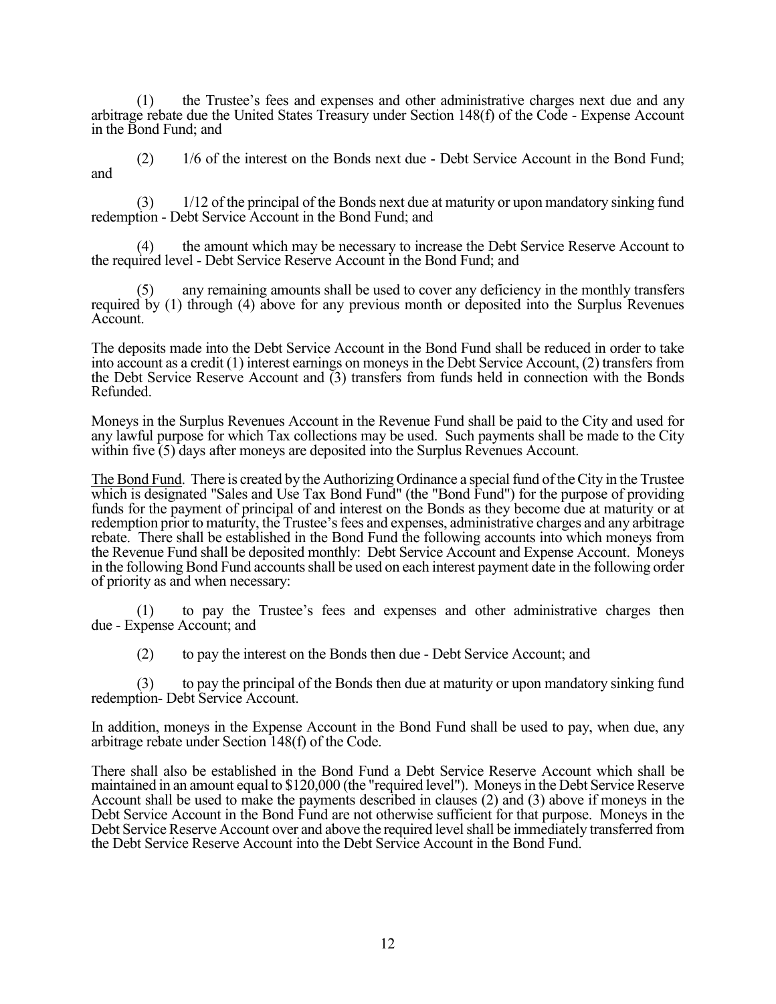(1) the Trustee's fees and expenses and other administrative charges next due and any arbitrage rebate due the United States Treasury under Section 148(f) of the Code - Expense Account in the Bond Fund; and

 (2) 1/6 of the interest on the Bonds next due - Debt Service Account in the Bond Fund; and

 (3) 1/12 of the principal of the Bonds next due at maturity or upon mandatory sinking fund redemption - Debt Service Account in the Bond Fund; and

 (4) the amount which may be necessary to increase the Debt Service Reserve Account to the required level - Debt Service Reserve Account in the Bond Fund; and

any remaining amounts shall be used to cover any deficiency in the monthly transfers required by (1) through (4) above for any previous month or deposited into the Surplus Revenues Account.

The deposits made into the Debt Service Account in the Bond Fund shall be reduced in order to take into account as a credit (1) interest earnings on moneys in the Debt Service Account, (2) transfers from the Debt Service Reserve Account and  $(3)$  transfers from funds held in connection with the Bonds Refunded.

Moneys in the Surplus Revenues Account in the Revenue Fund shall be paid to the City and used for any lawful purpose for which Tax collections may be used. Such payments shall be made to the City within five (5) days after moneys are deposited into the Surplus Revenues Account.

The Bond Fund. There is created by the Authorizing Ordinance a special fund of the City in the Trustee which is designated "Sales and Use Tax Bond Fund" (the "Bond Fund") for the purpose of providing funds for the payment of principal of and interest on the Bonds as they become due at maturity or at redemption prior to maturity, the Trustee's fees and expenses, administrative charges and any arbitrage rebate. There shall be established in the Bond Fund the following accounts into which moneys from the Revenue Fund shall be deposited monthly: Debt Service Account and Expense Account. Moneys in the following Bond Fund accounts shall be used on each interest payment date in the following order of priority as and when necessary:

 (1) to pay the Trustee's fees and expenses and other administrative charges then due - Expense Account; and

(2) to pay the interest on the Bonds then due - Debt Service Account; and

(3) to pay the principal of the Bonds then due at maturity or upon mandatory sinking fund redemption- Debt Service Account.

In addition, moneys in the Expense Account in the Bond Fund shall be used to pay, when due, any arbitrage rebate under Section 148(f) of the Code.

There shall also be established in the Bond Fund a Debt Service Reserve Account which shall be maintained in an amount equal to \$120,000 (the "required level"). Moneys in the Debt Service Reserve Account shall be used to make the payments described in clauses (2) and (3) above if moneys in the Debt Service Account in the Bond Fund are not otherwise sufficient for that purpose. Moneys in the Debt Service Reserve Account over and above the required level shall be immediately transferred from the Debt Service Reserve Account into the Debt Service Account in the Bond Fund.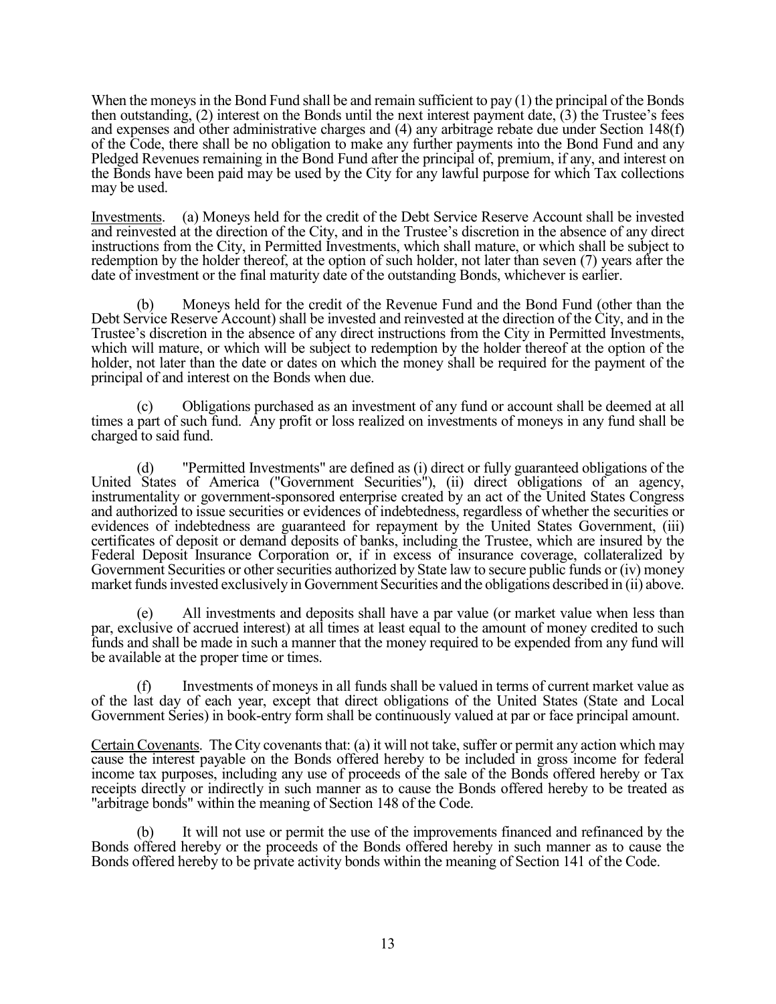When the moneys in the Bond Fund shall be and remain sufficient to pay (1) the principal of the Bonds then outstanding, (2) interest on the Bonds until the next interest payment date, (3) the Trustee's fees and expenses and other administrative charges and (4) any arbitrage rebate due under Section 148(f) of the Code, there shall be no obligation to make any further payments into the Bond Fund and any Pledged Revenues remaining in the Bond Fund after the principal of, premium, if any, and interest on the Bonds have been paid may be used by the City for any lawful purpose for which Tax collections may be used.

Investments. (a) Moneys held for the credit of the Debt Service Reserve Account shall be invested and reinvested at the direction of the City, and in the Trustee's discretion in the absence of any direct instructions from the City, in Permitted Investments, which shall mature, or which shall be subject to redemption by the holder thereof, at the option of such holder, not later than seven (7) years after the date of investment or the final maturity date of the outstanding Bonds, whichever is earlier.

 (b) Moneys held for the credit of the Revenue Fund and the Bond Fund (other than the Debt Service Reserve Account) shall be invested and reinvested at the direction of the City, and in the Trustee's discretion in the absence of any direct instructions from the City in Permitted Investments, which will mature, or which will be subject to redemption by the holder thereof at the option of the holder, not later than the date or dates on which the money shall be required for the payment of the principal of and interest on the Bonds when due.

 (c) Obligations purchased as an investment of any fund or account shall be deemed at all times a part of such fund. Any profit or loss realized on investments of moneys in any fund shall be charged to said fund.

 (d) "Permitted Investments" are defined as (i) direct or fully guaranteed obligations of the United States of America ("Government Securities"), (ii) direct obligations of an agency, instrumentality or government-sponsored enterprise created by an act of the United States Congress and authorized to issue securities or evidences of indebtedness, regardless of whether the securities or evidences of indebtedness are guaranteed for repayment by the United States Government, (iii) certificates of deposit or demand deposits of banks, including the Trustee, which are insured by the Federal Deposit Insurance Corporation or, if in excess of insurance coverage, collateralized by Government Securities or other securities authorized by State law to secure public funds or (iv) money market funds invested exclusively in Government Securities and the obligations described in (ii) above.

 (e) All investments and deposits shall have a par value (or market value when less than par, exclusive of accrued interest) at all times at least equal to the amount of money credited to such funds and shall be made in such a manner that the money required to be expended from any fund will be available at the proper time or times.

 (f) Investments of moneys in all funds shall be valued in terms of current market value as of the last day of each year, except that direct obligations of the United States (State and Local Government Series) in book-entry form shall be continuously valued at par or face principal amount.

Certain Covenants. The City covenants that: (a) it will not take, suffer or permit any action which may cause the interest payable on the Bonds offered hereby to be included in gross income for federal income tax purposes, including any use of proceeds of the sale of the Bonds offered hereby or Tax receipts directly or indirectly in such manner as to cause the Bonds offered hereby to be treated as "arbitrage bonds" within the meaning of Section 148 of the Code.

 (b) It will not use or permit the use of the improvements financed and refinanced by the Bonds offered hereby or the proceeds of the Bonds offered hereby in such manner as to cause the Bonds offered hereby to be private activity bonds within the meaning of Section 141 of the Code.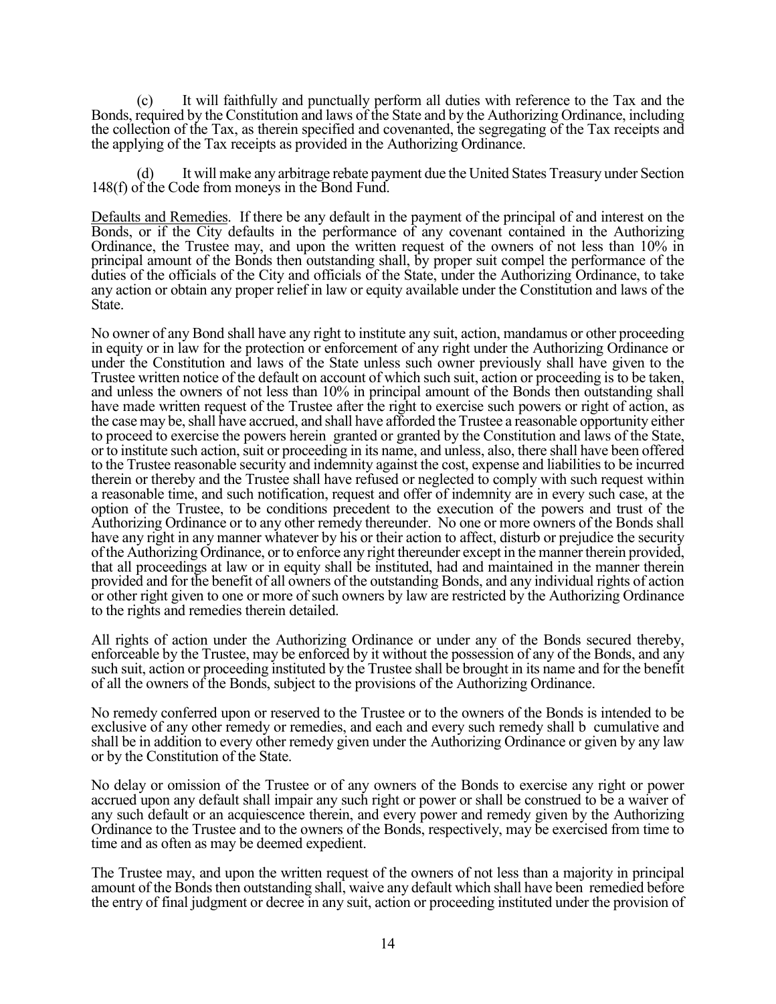(c) It will faithfully and punctually perform all duties with reference to the Tax and the Bonds, required by the Constitution and laws of the State and by the Authorizing Ordinance, including the collection of the Tax, as therein specified and covenanted, the segregating of the Tax receipts and the applying of the Tax receipts as provided in the Authorizing Ordinance.

 (d) It will make any arbitrage rebate payment due the United States Treasury under Section 148(f) of the Code from moneys in the Bond Fund.

Defaults and Remedies. If there be any default in the payment of the principal of and interest on the Bonds, or if the City defaults in the performance of any covenant contained in the Authorizing Ordinance, the Trustee may, and upon the written request of the owners of not less than 10% in principal amount of the Bonds then outstanding shall, by proper suit compel the performance of the duties of the officials of the City and officials of the State, under the Authorizing Ordinance, to take any action or obtain any proper relief in law or equity available under the Constitution and laws of the State.

No owner of any Bond shall have any right to institute any suit, action, mandamus or other proceeding in equity or in law for the protection or enforcement of any right under the Authorizing Ordinance or under the Constitution and laws of the State unless such owner previously shall have given to the Trustee written notice of the default on account of which such suit, action or proceeding is to be taken, and unless the owners of not less than 10% in principal amount of the Bonds then outstanding shall have made written request of the Trustee after the right to exercise such powers or right of action, as the case may be, shall have accrued, and shall have afforded the Trustee a reasonable opportunity either to proceed to exercise the powers herein granted or granted by the Constitution and laws of the State, or to institute such action, suit or proceeding in its name, and unless, also, there shall have been offered to the Trustee reasonable security and indemnity against the cost, expense and liabilities to be incurred therein or thereby and the Trustee shall have refused or neglected to comply with such request within a reasonable time, and such notification, request and offer of indemnity are in every such case, at the option of the Trustee, to be conditions precedent to the execution of the powers and trust of the Authorizing Ordinance or to any other remedy thereunder. No one or more owners of the Bonds shall have any right in any manner whatever by his or their action to affect, disturb or prejudice the security of the Authorizing Ordinance, or to enforce any right thereunder except in the manner therein provided, that all proceedings at law or in equity shall be instituted, had and maintained in the manner therein provided and for the benefit of all owners of the outstanding Bonds, and any individual rights of action or other right given to one or more of such owners by law are restricted by the Authorizing Ordinance to the rights and remedies therein detailed.

All rights of action under the Authorizing Ordinance or under any of the Bonds secured thereby, enforceable by the Trustee, may be enforced by it without the possession of any of the Bonds, and any such suit, action or proceeding instituted by the Trustee shall be brought in its name and for the benefit of all the owners of the Bonds, subject to the provisions of the Authorizing Ordinance.

No remedy conferred upon or reserved to the Trustee or to the owners of the Bonds is intended to be exclusive of any other remedy or remedies, and each and every such remedy shall b cumulative and shall be in addition to every other remedy given under the Authorizing Ordinance or given by any law or by the Constitution of the State.

No delay or omission of the Trustee or of any owners of the Bonds to exercise any right or power accrued upon any default shall impair any such right or power or shall be construed to be a waiver of any such default or an acquiescence therein, and every power and remedy given by the Authorizing Ordinance to the Trustee and to the owners of the Bonds, respectively, may be exercised from time to time and as often as may be deemed expedient.

The Trustee may, and upon the written request of the owners of not less than a majority in principal amount of the Bonds then outstanding shall, waive any default which shall have been remedied before the entry of final judgment or decree in any suit, action or proceeding instituted under the provision of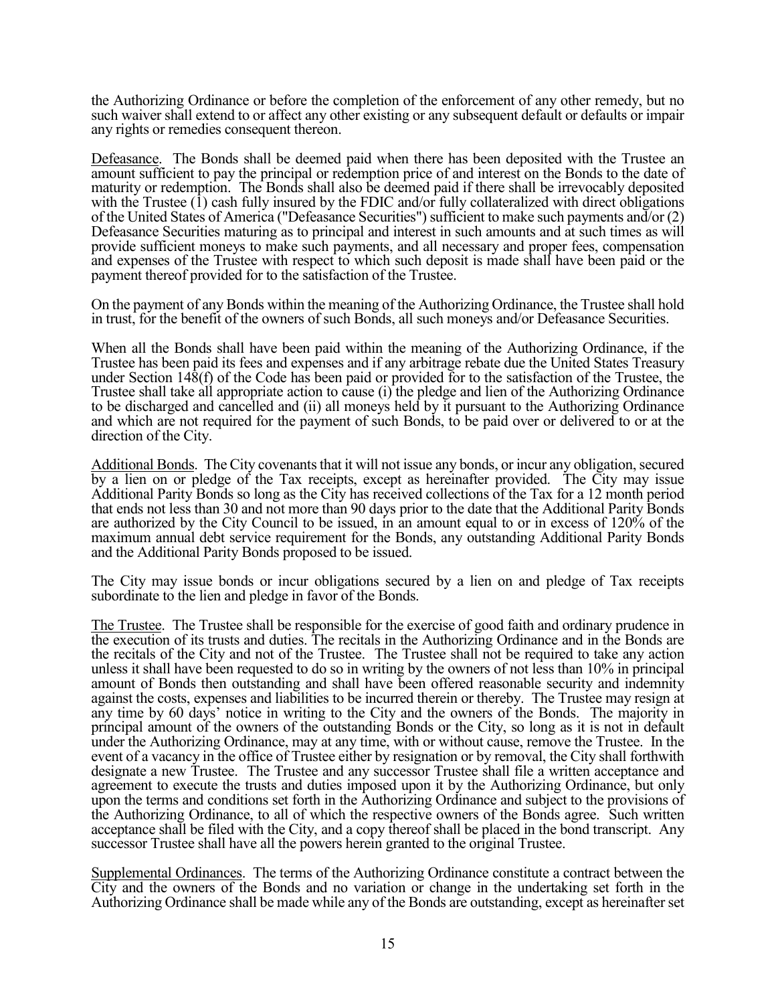the Authorizing Ordinance or before the completion of the enforcement of any other remedy, but no such waiver shall extend to or affect any other existing or any subsequent default or defaults or impair any rights or remedies consequent thereon.

Defeasance. The Bonds shall be deemed paid when there has been deposited with the Trustee an amount sufficient to pay the principal or redemption price of and interest on the Bonds to the date of maturity or redemption. The Bonds shall also be deemed paid if there shall be irrevocably deposited with the Trustee  $(1)$  cash fully insured by the FDIC and/or fully collateralized with direct obligations of the United States of America ("Defeasance Securities") sufficient to make such payments and/or (2) Defeasance Securities maturing as to principal and interest in such amounts and at such times as will provide sufficient moneys to make such payments, and all necessary and proper fees, compensation and expenses of the Trustee with respect to which such deposit is made shall have been paid or the payment thereof provided for to the satisfaction of the Trustee.

On the payment of any Bonds within the meaning of the Authorizing Ordinance, the Trustee shall hold in trust, for the benefit of the owners of such Bonds, all such moneys and/or Defeasance Securities.

When all the Bonds shall have been paid within the meaning of the Authorizing Ordinance, if the Trustee has been paid its fees and expenses and if any arbitrage rebate due the United States Treasury under Section 148(f) of the Code has been paid or provided for to the satisfaction of the Trustee, the Trustee shall take all appropriate action to cause (i) the pledge and lien of the Authorizing Ordinance to be discharged and cancelled and (ii) all moneys held by it pursuant to the Authorizing Ordinance and which are not required for the payment of such Bonds, to be paid over or delivered to or at the direction of the City.

Additional Bonds. The City covenants that it will not issue any bonds, or incur any obligation, secured by a lien on or pledge of the Tax receipts, except as hereinafter provided. The City may issue Additional Parity Bonds so long as the City has received collections of the Tax for a 12 month period that ends not less than 30 and not more than 90 days prior to the date that the Additional Parity Bonds are authorized by the City Council to be issued, in an amount equal to or in excess of 120% of the maximum annual debt service requirement for the Bonds, any outstanding Additional Parity Bonds and the Additional Parity Bonds proposed to be issued.

The City may issue bonds or incur obligations secured by a lien on and pledge of Tax receipts subordinate to the lien and pledge in favor of the Bonds.

The Trustee. The Trustee shall be responsible for the exercise of good faith and ordinary prudence in the execution of its trusts and duties. The recitals in the Authorizing Ordinance and in the Bonds are the recitals of the City and not of the Trustee. The Trustee shall not be required to take any action unless it shall have been requested to do so in writing by the owners of not less than 10% in principal amount of Bonds then outstanding and shall have been offered reasonable security and indemnity against the costs, expenses and liabilities to be incurred therein or thereby. The Trustee may resign at any time by 60 days' notice in writing to the City and the owners of the Bonds. The majority in principal amount of the owners of the outstanding Bonds or the City, so long as it is not in default under the Authorizing Ordinance, may at any time, with or without cause, remove the Trustee. In the event of a vacancy in the office of Trustee either by resignation or by removal, the City shall forthwith designate a new Trustee. The Trustee and any successor Trustee shall file a written acceptance and agreement to execute the trusts and duties imposed upon it by the Authorizing Ordinance, but only upon the terms and conditions set forth in the Authorizing Ordinance and subject to the provisions of the Authorizing Ordinance, to all of which the respective owners of the Bonds agree. Such written acceptance shall be filed with the City, and a copy thereof shall be placed in the bond transcript. Any successor Trustee shall have all the powers herein granted to the original Trustee.

Supplemental Ordinances. The terms of the Authorizing Ordinance constitute a contract between the City and the owners of the Bonds and no variation or change in the undertaking set forth in the Authorizing Ordinance shall be made while any of the Bonds are outstanding, except as hereinafter set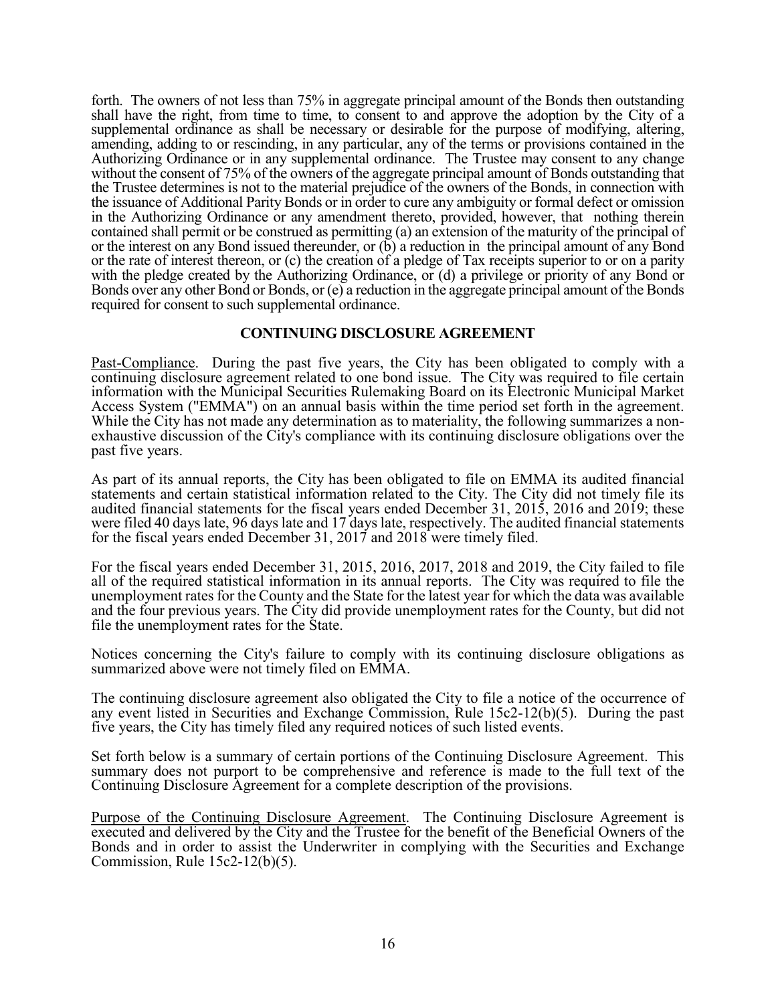forth. The owners of not less than 75% in aggregate principal amount of the Bonds then outstanding shall have the right, from time to time, to consent to and approve the adoption by the City of a supplemental ordinance as shall be necessary or desirable for the purpose of modifying, altering, amending, adding to or rescinding, in any particular, any of the terms or provisions contained in the Authorizing Ordinance or in any supplemental ordinance. The Trustee may consent to any change without the consent of 75% of the owners of the aggregate principal amount of Bonds outstanding that the Trustee determines is not to the material prejudice of the owners of the Bonds, in connection with the issuance of Additional Parity Bonds or in order to cure any ambiguity or formal defect or omission in the Authorizing Ordinance or any amendment thereto, provided, however, that nothing therein contained shall permit or be construed as permitting (a) an extension of the maturity of the principal of or the interest on any Bond issued thereunder, or (b) a reduction in the principal amount of any Bond or the rate of interest thereon, or (c) the creation of a pledge of Tax receipts superior to or on a parity with the pledge created by the Authorizing Ordinance, or (d) a privilege or priority of any Bond or Bonds over any other Bond or Bonds, or (e) a reduction in the aggregate principal amount of the Bonds required for consent to such supplemental ordinance.

# **CONTINUING DISCLOSURE AGREEMENT**

Past-Compliance. During the past five years, the City has been obligated to comply with a continuing disclosure agreement related to one bond issue. The City was required to file certain information with the Municipal Securities Rulemaking Board on its Electronic Municipal Market Access System ("EMMA") on an annual basis within the time period set forth in the agreement. While the City has not made any determination as to materiality, the following summarizes a nonexhaustive discussion of the City's compliance with its continuing disclosure obligations over the past five years.

As part of its annual reports, the City has been obligated to file on EMMA its audited financial statements and certain statistical information related to the City. The City did not timely file its audited financial statements for the fiscal years ended December 31, 2015, 2016 and 2019; these were filed 40 days late, 96 days late and 17 days late, respectively. The audited financial statements for the fiscal years ended December 31, 2017 and 2018 were timely filed.

For the fiscal years ended December 31, 2015, 2016, 2017, 2018 and 2019, the City failed to file all of the required statistical information in its annual reports. The City was required to file the unemployment rates for the County and the State for the latest year for which the data was available and the four previous years. The City did provide unemployment rates for the County, but did not file the unemployment rates for the State.

Notices concerning the City's failure to comply with its continuing disclosure obligations as summarized above were not timely filed on EMMA.

The continuing disclosure agreement also obligated the City to file a notice of the occurrence of any event listed in Securities and Exchange Commission, Rule 15c2-12(b)(5). During the past five years, the City has timely filed any required notices of such listed events.

Set forth below is a summary of certain portions of the Continuing Disclosure Agreement. This summary does not purport to be comprehensive and reference is made to the full text of the Continuing Disclosure Agreement for a complete description of the provisions.

Purpose of the Continuing Disclosure Agreement. The Continuing Disclosure Agreement is executed and delivered by the City and the Trustee for the benefit of the Beneficial Owners of the Bonds and in order to assist the Underwriter in complying with the Securities and Exchange Commission, Rule 15c2-12(b)(5).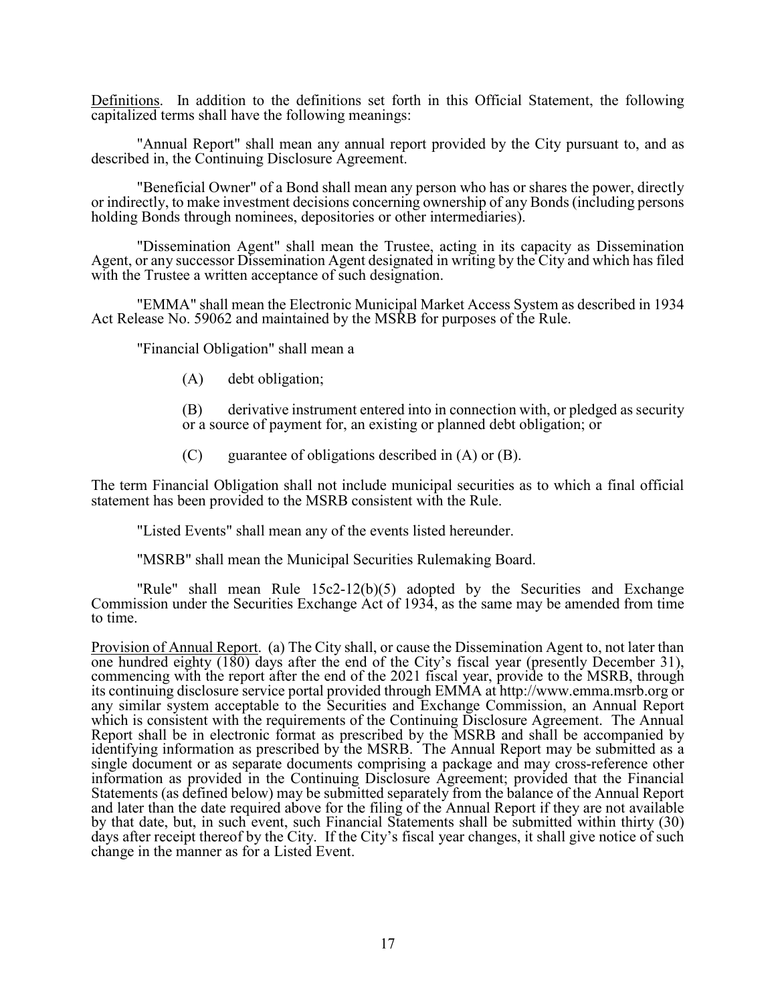Definitions. In addition to the definitions set forth in this Official Statement, the following capitalized terms shall have the following meanings:

 "Annual Report" shall mean any annual report provided by the City pursuant to, and as described in, the Continuing Disclosure Agreement.

 "Beneficial Owner" of a Bond shall mean any person who has or shares the power, directly or indirectly, to make investment decisions concerning ownership of any Bonds (including persons holding Bonds through nominees, depositories or other intermediaries).

 "Dissemination Agent" shall mean the Trustee, acting in its capacity as Dissemination Agent, or any successor Dissemination Agent designated in writing by the City and which has filed with the Trustee a written acceptance of such designation.

 "EMMA" shall mean the Electronic Municipal Market Access System as described in 1934 Act Release No. 59062 and maintained by the MSRB for purposes of the Rule.

"Financial Obligation" shall mean a

- (A) debt obligation;
- (B) derivative instrument entered into in connection with, or pledged as security or a source of payment for, an existing or planned debt obligation; or
- $(C)$  guarantee of obligations described in  $(A)$  or  $(B)$ .

The term Financial Obligation shall not include municipal securities as to which a final official statement has been provided to the MSRB consistent with the Rule.

"Listed Events" shall mean any of the events listed hereunder.

"MSRB" shall mean the Municipal Securities Rulemaking Board.

 "Rule" shall mean Rule 15c2-12(b)(5) adopted by the Securities and Exchange Commission under the Securities Exchange Act of 1934, as the same may be amended from time to time.

Provision of Annual Report. (a) The City shall, or cause the Dissemination Agent to, not later than one hundred eighty (180) days after the end of the City's fiscal year (presently December 31), commencing with the report after the end of the 2021 fiscal year, provide to the MSRB, through its continuing disclosure service portal provided through EMMA at http://www.emma.msrb.org or any similar system acceptable to the Securities and Exchange Commission, an Annual Report which is consistent with the requirements of the Continuing Disclosure Agreement. The Annual Report shall be in electronic format as prescribed by the MSRB and shall be accompanied by identifying information as prescribed by the MSRB. The Annual Report may be submitted as a single document or as separate documents comprising a package and may cross-reference other information as provided in the Continuing Disclosure Agreement; provided that the Financial Statements (as defined below) may be submitted separately from the balance of the Annual Report and later than the date required above for the filing of the Annual Report if they are not available by that date, but, in such event, such Financial Statements shall be submitted within thirty (30) days after receipt thereof by the City. If the City's fiscal year changes, it shall give notice of such change in the manner as for a Listed Event.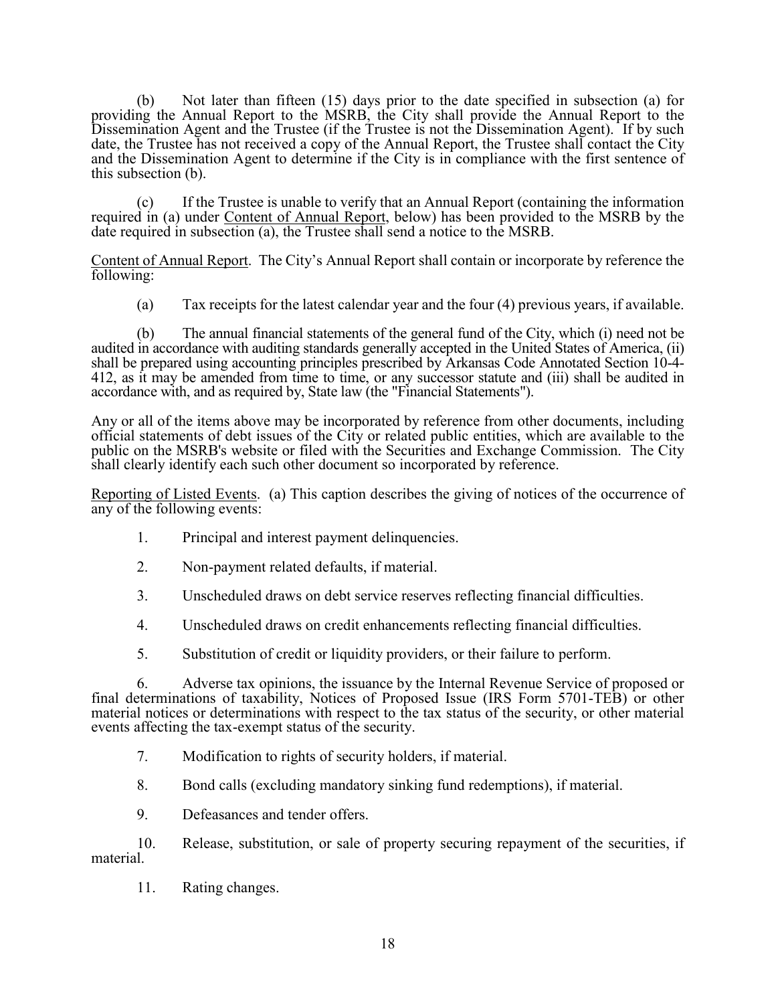(b) Not later than fifteen (15) days prior to the date specified in subsection (a) for providing the Annual Report to the MSRB, the City shall provide the Annual Report to the Dissemination Agent and the Trustee (if the Trustee is not the Dissemination Agent). If by such date, the Trustee has not received a copy of the Annual Report, the Trustee shall contact the City and the Dissemination Agent to determine if the City is in compliance with the first sentence of this subsection (b).

 (c) If the Trustee is unable to verify that an Annual Report (containing the information required in (a) under Content of Annual Report, below) has been provided to the MSRB by the date required in subsection (a), the Trustee shall send a notice to the MSRB.

Content of Annual Report. The City's Annual Report shall contain or incorporate by reference the following:

(a) Tax receipts for the latest calendar year and the four (4) previous years, if available.

 (b) The annual financial statements of the general fund of the City, which (i) need not be audited in accordance with auditing standards generally accepted in the United States of America, (ii) shall be prepared using accounting principles prescribed by Arkansas Code Annotated Section 10-4- 412, as it may be amended from time to time, or any successor statute and (iii) shall be audited in accordance with, and as required by, State law (the "Financial Statements").

Any or all of the items above may be incorporated by reference from other documents, including official statements of debt issues of the City or related public entities, which are available to the public on the MSRB's website or filed with the Securities and Exchange Commission. The City shall clearly identify each such other document so incorporated by reference.

Reporting of Listed Events. (a) This caption describes the giving of notices of the occurrence of any of the following events:

- 1. Principal and interest payment delinquencies.
- 2. Non-payment related defaults, if material.
- 3. Unscheduled draws on debt service reserves reflecting financial difficulties.
- 4. Unscheduled draws on credit enhancements reflecting financial difficulties.
- 5. Substitution of credit or liquidity providers, or their failure to perform.

 6. Adverse tax opinions, the issuance by the Internal Revenue Service of proposed or final determinations of taxability, Notices of Proposed Issue (IRS Form 5701-TEB) or other material notices or determinations with respect to the tax status of the security, or other material events affecting the tax-exempt status of the security.

- 7. Modification to rights of security holders, if material.
- 8. Bond calls (excluding mandatory sinking fund redemptions), if material.
- 9. Defeasances and tender offers.

 10. Release, substitution, or sale of property securing repayment of the securities, if material.

11. Rating changes.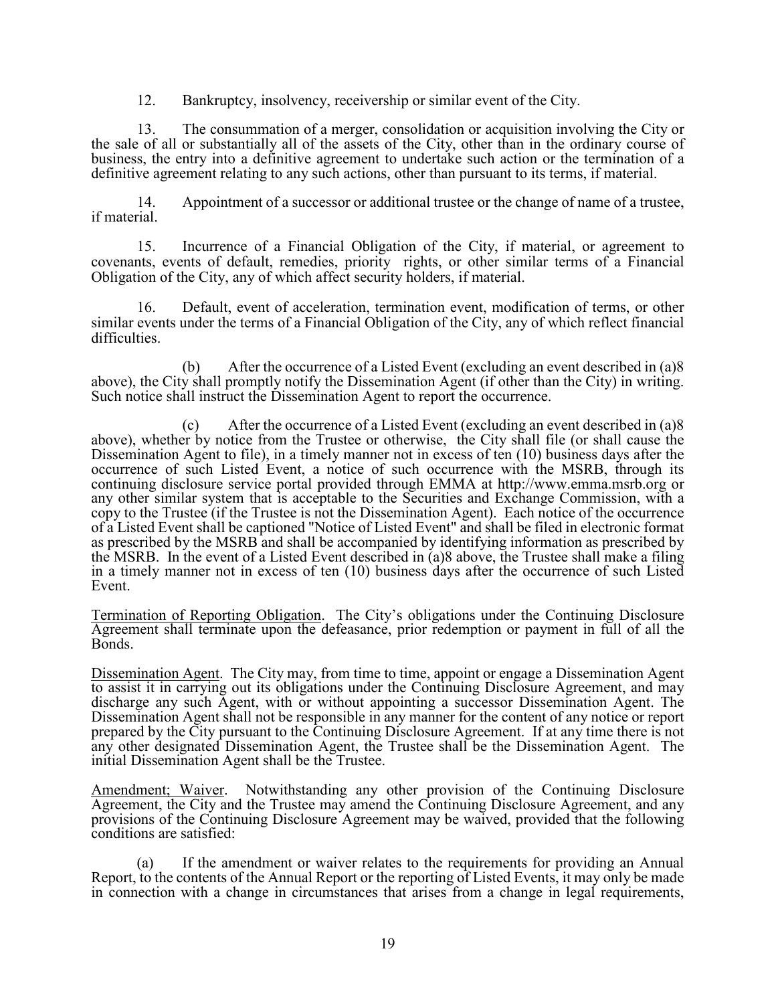12. Bankruptcy, insolvency, receivership or similar event of the City.

 13. The consummation of a merger, consolidation or acquisition involving the City or the sale of all or substantially all of the assets of the City, other than in the ordinary course of business, the entry into a definitive agreement to undertake such action or the termination of a definitive agreement relating to any such actions, other than pursuant to its terms, if material.

 14. Appointment of a successor or additional trustee or the change of name of a trustee, if material.

 15. Incurrence of a Financial Obligation of the City, if material, or agreement to covenants, events of default, remedies, priority rights, or other similar terms of a Financial Obligation of the City, any of which affect security holders, if material.

 16. Default, event of acceleration, termination event, modification of terms, or other similar events under the terms of a Financial Obligation of the City, any of which reflect financial difficulties.

 (b) After the occurrence of a Listed Event (excluding an event described in (a)8 above), the City shall promptly notify the Dissemination Agent (if other than the City) in writing. Such notice shall instruct the Dissemination Agent to report the occurrence.

 (c) After the occurrence of a Listed Event (excluding an event described in (a)8 above), whether by notice from the Trustee or otherwise, the City shall file (or shall cause the Dissemination Agent to file), in a timely manner not in excess of ten (10) business days after the occurrence of such Listed Event, a notice of such occurrence with the MSRB, through its continuing disclosure service portal provided through EMMA at http://www.emma.msrb.org or any other similar system that is acceptable to the Securities and Exchange Commission, with a copy to the Trustee (if the Trustee is not the Dissemination Agent). Each notice of the occurrence of a Listed Event shall be captioned "Notice of Listed Event" and shall be filed in electronic format as prescribed by the MSRB and shall be accompanied by identifying information as prescribed by the MSRB. In the event of a Listed Event described in (a)8 above, the Trustee shall make a filing in a timely manner not in excess of ten (10) business days after the occurrence of such Listed Event.

Termination of Reporting Obligation. The City's obligations under the Continuing Disclosure Agreement shall terminate upon the defeasance, prior redemption or payment in full of all the Bonds.

Dissemination Agent. The City may, from time to time, appoint or engage a Dissemination Agent to assist it in carrying out its obligations under the Continuing Disclosure Agreement, and may discharge any such Agent, with or without appointing a successor Dissemination Agent. The Dissemination Agent shall not be responsible in any manner for the content of any notice or report prepared by the City pursuant to the Continuing Disclosure Agreement. If at any time there is not any other designated Dissemination Agent, the Trustee shall be the Dissemination Agent. The initial Dissemination Agent shall be the Trustee.

Amendment; Waiver. Notwithstanding any other provision of the Continuing Disclosure Agreement, the City and the Trustee may amend the Continuing Disclosure Agreement, and any provisions of the Continuing Disclosure Agreement may be waived, provided that the following conditions are satisfied:

 (a) If the amendment or waiver relates to the requirements for providing an Annual Report, to the contents of the Annual Report or the reporting of Listed Events, it may only be made in connection with a change in circumstances that arises from a change in legal requirements,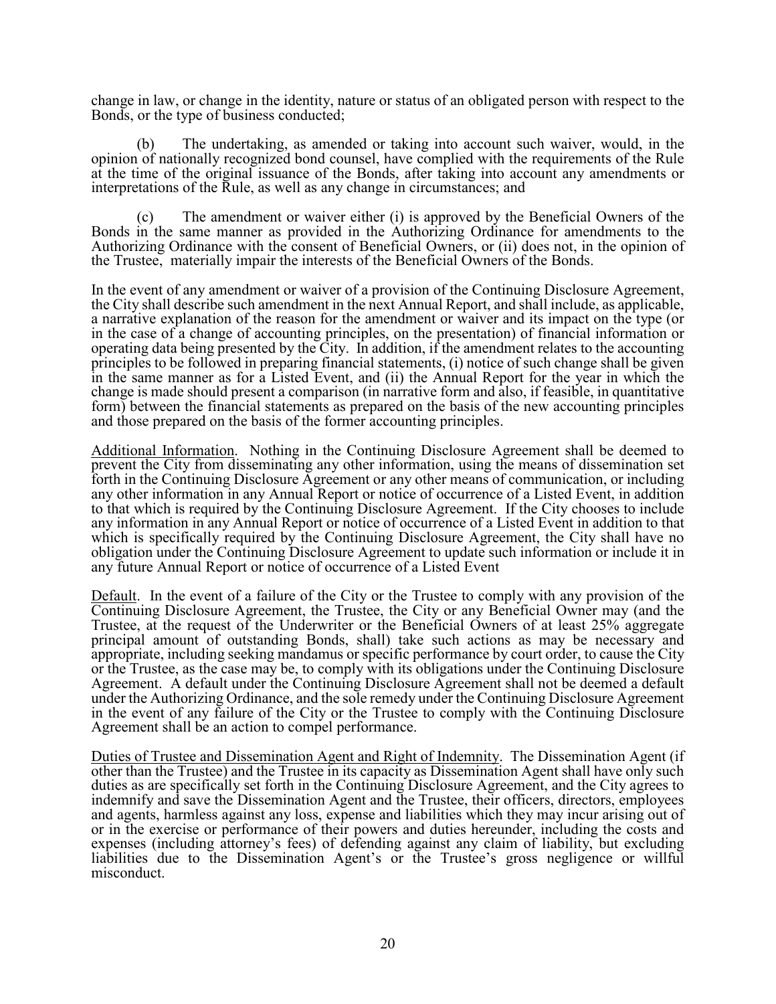change in law, or change in the identity, nature or status of an obligated person with respect to the Bonds, or the type of business conducted;

 (b) The undertaking, as amended or taking into account such waiver, would, in the opinion of nationally recognized bond counsel, have complied with the requirements of the Rule at the time of the original issuance of the Bonds, after taking into account any amendments or interpretations of the Rule, as well as any change in circumstances; and

 (c) The amendment or waiver either (i) is approved by the Beneficial Owners of the Bonds in the same manner as provided in the Authorizing Ordinance for amendments to the Authorizing Ordinance with the consent of Beneficial Owners, or (ii) does not, in the opinion of the Trustee, materially impair the interests of the Beneficial Owners of the Bonds.

In the event of any amendment or waiver of a provision of the Continuing Disclosure Agreement, the City shall describe such amendment in the next Annual Report, and shall include, as applicable, a narrative explanation of the reason for the amendment or waiver and its impact on the type (or in the case of a change of accounting principles, on the presentation) of financial information or operating data being presented by the City. In addition, if the amendment relates to the accounting principles to be followed in preparing financial statements, (i) notice of such change shall be given in the same manner as for a Listed Event, and (ii) the Annual Report for the year in which the change is made should present a comparison (in narrative form and also, if feasible, in quantitative form) between the financial statements as prepared on the basis of the new accounting principles and those prepared on the basis of the former accounting principles.

Additional Information. Nothing in the Continuing Disclosure Agreement shall be deemed to prevent the City from disseminating any other information, using the means of dissemination set forth in the Continuing Disclosure Agreement or any other means of communication, or including any other information in any Annual Report or notice of occurrence of a Listed Event, in addition to that which is required by the Continuing Disclosure Agreement. If the City chooses to include any information in any Annual Report or notice of occurrence of a Listed Event in addition to that which is specifically required by the Continuing Disclosure Agreement, the City shall have no obligation under the Continuing Disclosure Agreement to update such information or include it in any future Annual Report or notice of occurrence of a Listed Event

Default. In the event of a failure of the City or the Trustee to comply with any provision of the Continuing Disclosure Agreement, the Trustee, the City or any Beneficial Owner may (and the Trustee, at the request of the Underwriter or the Beneficial Owners of at least 25% aggregate principal amount of outstanding Bonds, shall) take such actions as may be necessary and appropriate, including seeking mandamus or specific performance by court order, to cause the City or the Trustee, as the case may be, to comply with its obligations under the Continuing Disclosure Agreement. A default under the Continuing Disclosure Agreement shall not be deemed a default under the Authorizing Ordinance, and the sole remedy under the Continuing Disclosure Agreement in the event of any failure of the City or the Trustee to comply with the Continuing Disclosure Agreement shall be an action to compel performance.

Duties of Trustee and Dissemination Agent and Right of Indemnity. The Dissemination Agent (if other than the Trustee) and the Trustee in its capacity as Dissemination Agent shall have only such duties as are specifically set forth in the Continuing Disclosure Agreement, and the City agrees to indemnify and save the Dissemination Agent and the Trustee, their officers, directors, employees and agents, harmless against any loss, expense and liabilities which they may incur arising out of or in the exercise or performance of their powers and duties hereunder, including the costs and expenses (including attorney's fees) of defending against any claim of liability, but excluding liabilities due to the Dissemination Agent's or the Trustee's gross negligence or willful misconduct.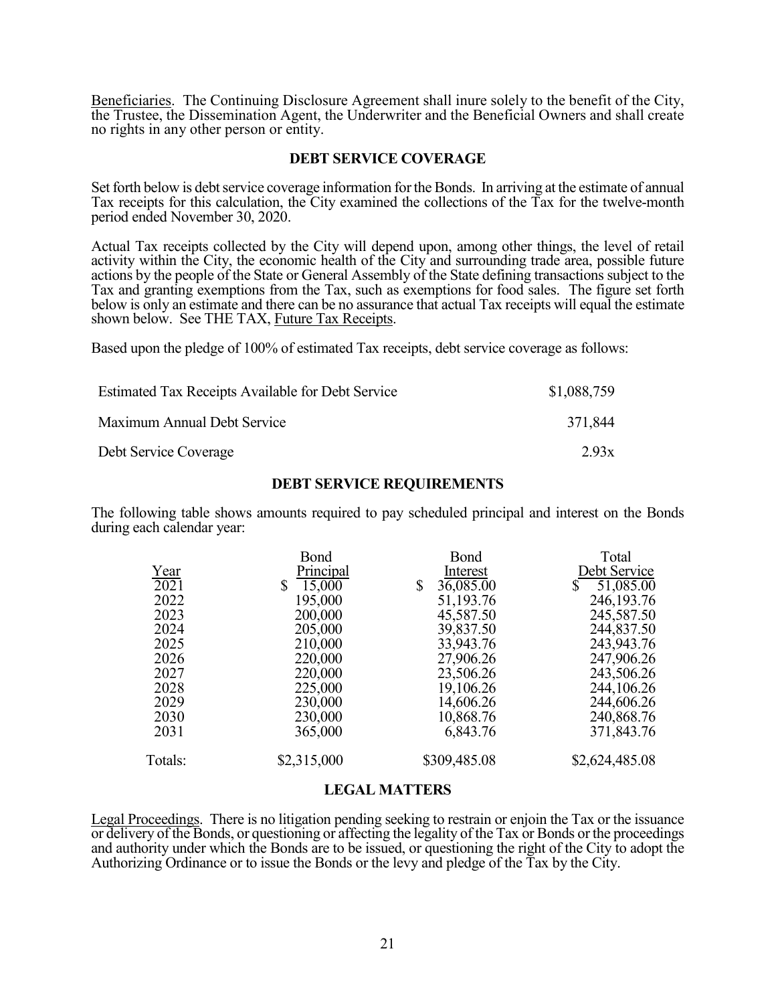Beneficiaries. The Continuing Disclosure Agreement shall inure solely to the benefit of the City, the Trustee, the Dissemination Agent, the Underwriter and the Beneficial Owners and shall create no rights in any other person or entity.

# **DEBT SERVICE COVERAGE**

Set forth below is debt service coverage information for the Bonds. In arriving at the estimate of annual Tax receipts for this calculation, the City examined the collections of the Tax for the twelve-month period ended November 30, 2020.

Actual Tax receipts collected by the City will depend upon, among other things, the level of retail activity within the City, the economic health of the City and surrounding trade area, possible future actions by the people of the State or General Assembly of the State defining transactions subject to the Tax and granting exemptions from the Tax, such as exemptions for food sales. The figure set forth below is only an estimate and there can be no assurance that actual Tax receipts will equal the estimate shown below. See THE TAX, Future Tax Receipts.

Based upon the pledge of 100% of estimated Tax receipts, debt service coverage as follows:

| <b>Estimated Tax Receipts Available for Debt Service</b> | \$1,088,759 |
|----------------------------------------------------------|-------------|
| Maximum Annual Debt Service                              | 371,844     |
| Debt Service Coverage                                    | 2.93x       |

# **DEBT SERVICE REQUIREMENTS**

The following table shows amounts required to pay scheduled principal and interest on the Bonds during each calendar year:

|         | Bond         | Bond                      | Total           |
|---------|--------------|---------------------------|-----------------|
| Year    | Principal    | Interest                  | Debt Service    |
| 2021    | 15,000<br>\$ | 36,085.00<br>$\mathbb{S}$ | 51,085.00<br>S. |
| 2022    | 195,000      | 51,193.76                 | 246,193.76      |
| 2023    | 200,000      | 45,587.50                 | 245,587.50      |
| 2024    | 205,000      | 39,837.50                 | 244,837.50      |
| 2025    | 210,000      | 33,943.76                 | 243,943.76      |
| 2026    | 220,000      | 27,906.26                 | 247,906.26      |
| 2027    | 220,000      | 23,506.26                 | 243,506.26      |
| 2028    | 225,000      | 19,106.26                 | 244,106.26      |
| 2029    | 230,000      | 14,606.26                 | 244,606.26      |
| 2030    | 230,000      | 10,868.76                 | 240,868.76      |
| 2031    | 365,000      | 6,843.76                  | 371,843.76      |
| Totals: | \$2,315,000  | \$309,485.08              | \$2,624,485.08  |

#### **LEGAL MATTERS**

Legal Proceedings. There is no litigation pending seeking to restrain or enjoin the Tax or the issuance or delivery of the Bonds, or questioning or affecting the legality of the Tax or Bonds or the proceedings and authority under which the Bonds are to be issued, or questioning the right of the City to adopt the Authorizing Ordinance or to issue the Bonds or the levy and pledge of the Tax by the City.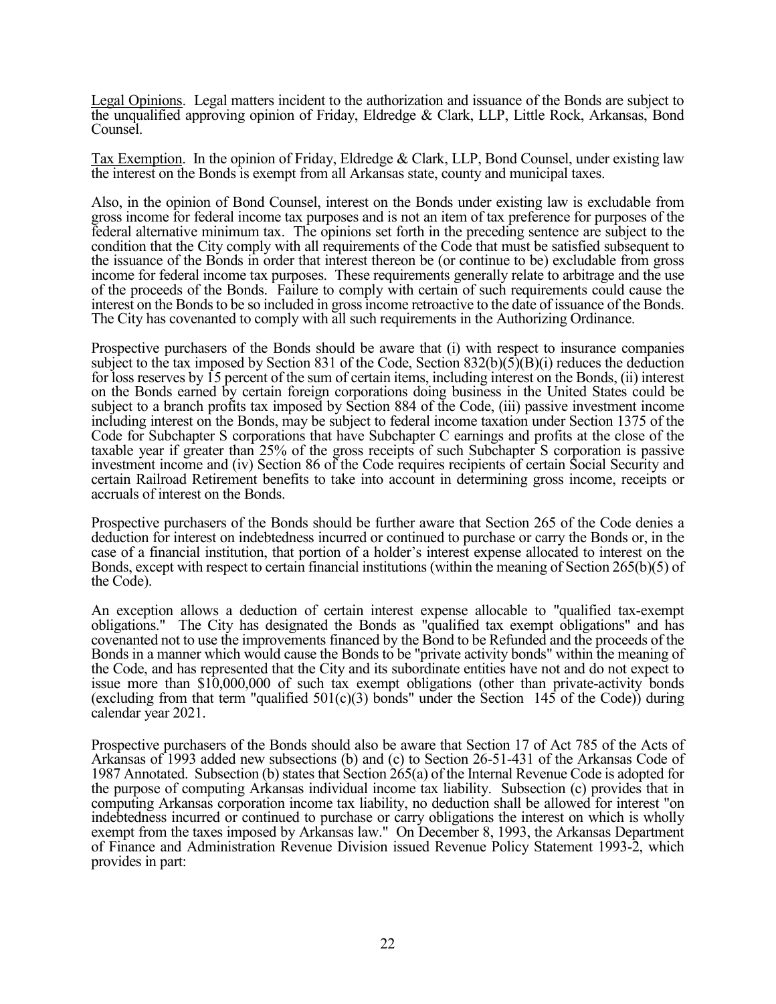Legal Opinions. Legal matters incident to the authorization and issuance of the Bonds are subject to the unqualified approving opinion of Friday, Eldredge & Clark, LLP, Little Rock, Arkansas, Bond Counsel.

Tax Exemption. In the opinion of Friday, Eldredge & Clark, LLP, Bond Counsel, under existing law the interest on the Bonds is exempt from all Arkansas state, county and municipal taxes.

Also, in the opinion of Bond Counsel, interest on the Bonds under existing law is excludable from gross income for federal income tax purposes and is not an item of tax preference for purposes of the federal alternative minimum tax. The opinions set forth in the preceding sentence are subject to the condition that the City comply with all requirements of the Code that must be satisfied subsequent to the issuance of the Bonds in order that interest thereon be (or continue to be) excludable from gross income for federal income tax purposes. These requirements generally relate to arbitrage and the use of the proceeds of the Bonds. Failure to comply with certain of such requirements could cause the interest on the Bonds to be so included in gross income retroactive to the date of issuance of the Bonds. The City has covenanted to comply with all such requirements in the Authorizing Ordinance.

Prospective purchasers of the Bonds should be aware that (i) with respect to insurance companies subject to the tax imposed by Section 831 of the Code, Section 832(b)(5)(B)(i) reduces the deduction for loss reserves by 15 percent of the sum of certain items, including interest on the Bonds, (ii) interest on the Bonds earned by certain foreign corporations doing business in the United States could be subject to a branch profits tax imposed by Section 884 of the Code, (iii) passive investment income including interest on the Bonds, may be subject to federal income taxation under Section 1375 of the Code for Subchapter S corporations that have Subchapter C earnings and profits at the close of the taxable year if greater than 25% of the gross receipts of such Subchapter S corporation is passive investment income and (iv) Section 86 of the Code requires recipients of certain Social Security and certain Railroad Retirement benefits to take into account in determining gross income, receipts or accruals of interest on the Bonds.

Prospective purchasers of the Bonds should be further aware that Section 265 of the Code denies a deduction for interest on indebtedness incurred or continued to purchase or carry the Bonds or, in the case of a financial institution, that portion of a holder's interest expense allocated to interest on the Bonds, except with respect to certain financial institutions (within the meaning of Section 265(b)(5) of the Code).

An exception allows a deduction of certain interest expense allocable to "qualified tax-exempt obligations." The City has designated the Bonds as "qualified tax exempt obligations" and has covenanted not to use the improvements financed by the Bond to be Refunded and the proceeds of the Bonds in a manner which would cause the Bonds to be "private activity bonds" within the meaning of the Code, and has represented that the City and its subordinate entities have not and do not expect to issue more than \$10,000,000 of such tax exempt obligations (other than private-activity bonds (excluding from that term "qualified  $501(c)(3)$  bonds" under the Section 145 of the Code)) during calendar year 2021.

Prospective purchasers of the Bonds should also be aware that Section 17 of Act 785 of the Acts of Arkansas of 1993 added new subsections (b) and (c) to Section 26-51-431 of the Arkansas Code of 1987 Annotated. Subsection (b) states that Section 265(a) of the Internal Revenue Code is adopted for the purpose of computing Arkansas individual income tax liability. Subsection (c) provides that in computing Arkansas corporation income tax liability, no deduction shall be allowed for interest "on indebtedness incurred or continued to purchase or carry obligations the interest on which is wholly exempt from the taxes imposed by Arkansas law." On December 8, 1993, the Arkansas Department of Finance and Administration Revenue Division issued Revenue Policy Statement 1993-2, which provides in part: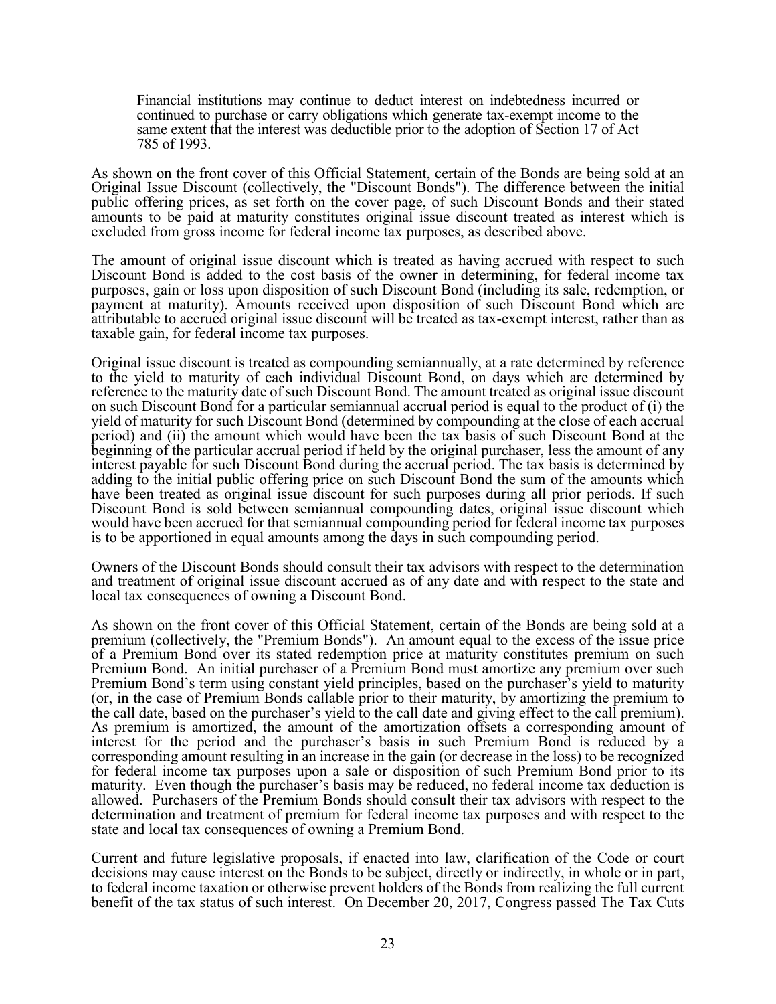Financial institutions may continue to deduct interest on indebtedness incurred or continued to purchase or carry obligations which generate tax-exempt income to the same extent that the interest was deductible prior to the adoption of Section 17 of Act 785 of 1993.

As shown on the front cover of this Official Statement, certain of the Bonds are being sold at an Original Issue Discount (collectively, the "Discount Bonds"). The difference between the initial public offering prices, as set forth on the cover page, of such Discount Bonds and their stated amounts to be paid at maturity constitutes original issue discount treated as interest which is excluded from gross income for federal income tax purposes, as described above.

The amount of original issue discount which is treated as having accrued with respect to such Discount Bond is added to the cost basis of the owner in determining, for federal income tax purposes, gain or loss upon disposition of such Discount Bond (including its sale, redemption, or payment at maturity). Amounts received upon disposition of such Discount Bond which are attributable to accrued original issue discount will be treated as tax-exempt interest, rather than as taxable gain, for federal income tax purposes.

Original issue discount is treated as compounding semiannually, at a rate determined by reference to the yield to maturity of each individual Discount Bond, on days which are determined by reference to the maturity date of such Discount Bond. The amount treated as original issue discount on such Discount Bond for a particular semiannual accrual period is equal to the product of (i) the yield of maturity for such Discount Bond (determined by compounding at the close of each accrual period) and (ii) the amount which would have been the tax basis of such Discount Bond at the beginning of the particular accrual period if held by the original purchaser, less the amount of any interest payable for such Discount Bond during the accrual period. The tax basis is determined by adding to the initial public offering price on such Discount Bond the sum of the amounts which have been treated as original issue discount for such purposes during all prior periods. If such Discount Bond is sold between semiannual compounding dates, original issue discount which would have been accrued for that semiannual compounding period for federal income tax purposes is to be apportioned in equal amounts among the days in such compounding period.

Owners of the Discount Bonds should consult their tax advisors with respect to the determination and treatment of original issue discount accrued as of any date and with respect to the state and local tax consequences of owning a Discount Bond.

As shown on the front cover of this Official Statement, certain of the Bonds are being sold at a premium (collectively, the "Premium Bonds"). An amount equal to the excess of the issue price of a Premium Bond over its stated redemption price at maturity constitutes premium on such Premium Bond. An initial purchaser of a Premium Bond must amortize any premium over such Premium Bond's term using constant yield principles, based on the purchaser's yield to maturity (or, in the case of Premium Bonds callable prior to their maturity, by amortizing the premium to the call date, based on the purchaser's yield to the call date and giving effect to the call premium). As premium is amortized, the amount of the amortization offsets a corresponding amount of interest for the period and the purchaser's basis in such Premium Bond is reduced by a corresponding amount resulting in an increase in the gain (or decrease in the loss) to be recognized for federal income tax purposes upon a sale or disposition of such Premium Bond prior to its maturity. Even though the purchaser's basis may be reduced, no federal income tax deduction is allowed. Purchasers of the Premium Bonds should consult their tax advisors with respect to the determination and treatment of premium for federal income tax purposes and with respect to the state and local tax consequences of owning a Premium Bond.

Current and future legislative proposals, if enacted into law, clarification of the Code or court decisions may cause interest on the Bonds to be subject, directly or indirectly, in whole or in part, to federal income taxation or otherwise prevent holders of the Bonds from realizing the full current benefit of the tax status of such interest. On December 20, 2017, Congress passed The Tax Cuts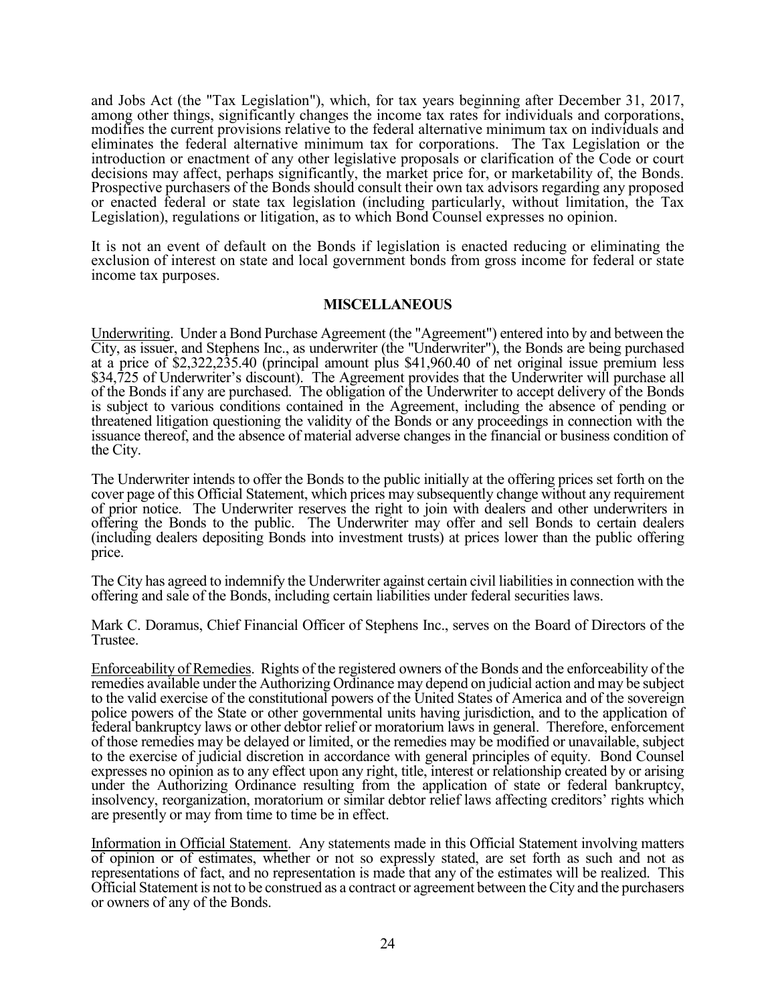and Jobs Act (the "Tax Legislation"), which, for tax years beginning after December 31, 2017, among other things, significantly changes the income tax rates for individuals and corporations, modifies the current provisions relative to the federal alternative minimum tax on individuals and eliminates the federal alternative minimum tax for corporations. The Tax Legislation or the introduction or enactment of any other legislative proposals or clarification of the Code or court decisions may affect, perhaps significantly, the market price for, or marketability of, the Bonds. Prospective purchasers of the Bonds should consult their own tax advisors regarding any proposed or enacted federal or state tax legislation (including particularly, without limitation, the Tax Legislation), regulations or litigation, as to which Bond Counsel expresses no opinion.

It is not an event of default on the Bonds if legislation is enacted reducing or eliminating the exclusion of interest on state and local government bonds from gross income for federal or state income tax purposes.

# **MISCELLANEOUS**

Underwriting. Under a Bond Purchase Agreement (the "Agreement") entered into by and between the City, as issuer, and Stephens Inc., as underwriter (the "Underwriter"), the Bonds are being purchased at a price of \$2,322,235.40 (principal amount plus \$41,960.40 of net original issue premium less \$34,725 of Underwriter's discount). The Agreement provides that the Underwriter will purchase all of the Bonds if any are purchased. The obligation of the Underwriter to accept delivery of the Bonds is subject to various conditions contained in the Agreement, including the absence of pending or threatened litigation questioning the validity of the Bonds or any proceedings in connection with the issuance thereof, and the absence of material adverse changes in the financial or business condition of the City.

The Underwriter intends to offer the Bonds to the public initially at the offering prices set forth on the cover page of this Official Statement, which prices may subsequently change without any requirement of prior notice. The Underwriter reserves the right to join with dealers and other underwriters in offering the Bonds to the public. The Underwriter may offer and sell Bonds to certain dealers (including dealers depositing Bonds into investment trusts) at prices lower than the public offering price.

The City has agreed to indemnify the Underwriter against certain civil liabilities in connection with the offering and sale of the Bonds, including certain liabilities under federal securities laws.

Mark C. Doramus, Chief Financial Officer of Stephens Inc., serves on the Board of Directors of the Trustee.

Enforceability of Remedies. Rights of the registered owners of the Bonds and the enforceability of the remedies available under the Authorizing Ordinance may depend on judicial action and may be subject to the valid exercise of the constitutional powers of the United States of America and of the sovereign police powers of the State or other governmental units having jurisdiction, and to the application of federal bankruptcy laws or other debtor relief or moratorium laws in general. Therefore, enforcement of those remedies may be delayed or limited, or the remedies may be modified or unavailable, subject to the exercise of judicial discretion in accordance with general principles of equity. Bond Counsel expresses no opinion as to any effect upon any right, title, interest or relationship created by or arising under the Authorizing Ordinance resulting from the application of state or federal bankruptcy, insolvency, reorganization, moratorium or similar debtor relief laws affecting creditors' rights which are presently or may from time to time be in effect.

Information in Official Statement. Any statements made in this Official Statement involving matters of opinion or of estimates, whether or not so expressly stated, are set forth as such and not as representations of fact, and no representation is made that any of the estimates will be realized. This Official Statement is not to be construed as a contract or agreement between the City and the purchasers or owners of any of the Bonds.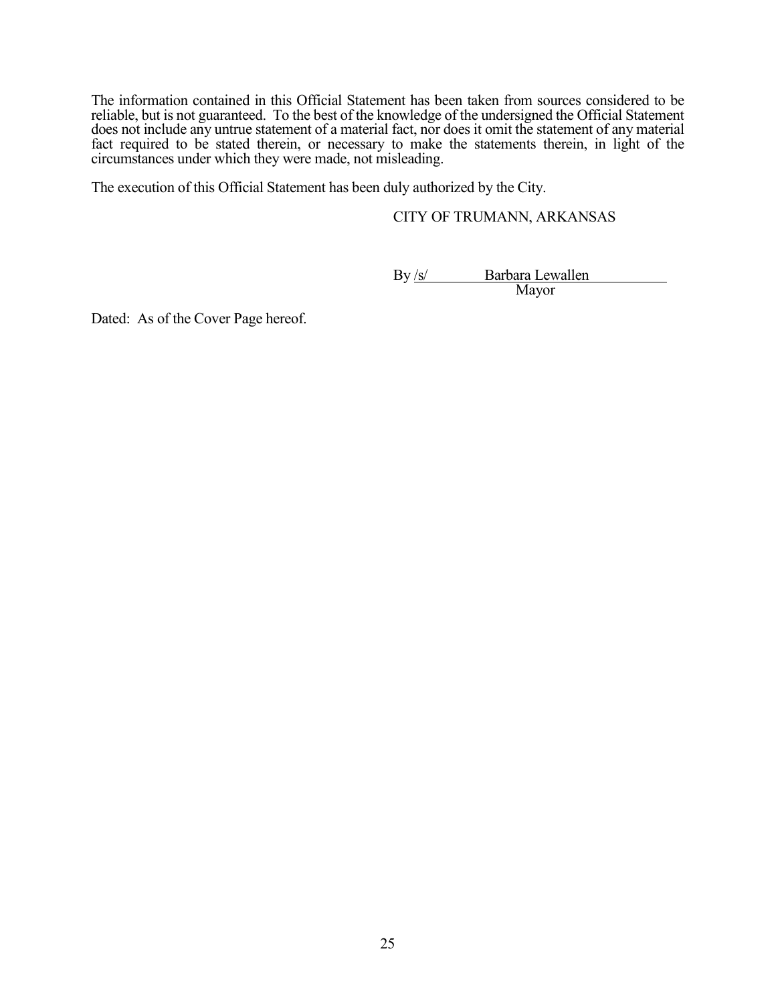The information contained in this Official Statement has been taken from sources considered to be reliable, but is not guaranteed. To the best of the knowledge of the undersigned the Official Statement does not include any untrue statement of a material fact, nor does it omit the statement of any material fact required to be stated therein, or necessary to make the statements therein, in light of the circumstances under which they were made, not misleading.

The execution of this Official Statement has been duly authorized by the City.

# CITY OF TRUMANN, ARKANSAS

By /s/ Barbara Lewallen Mayor

Dated: As of the Cover Page hereof.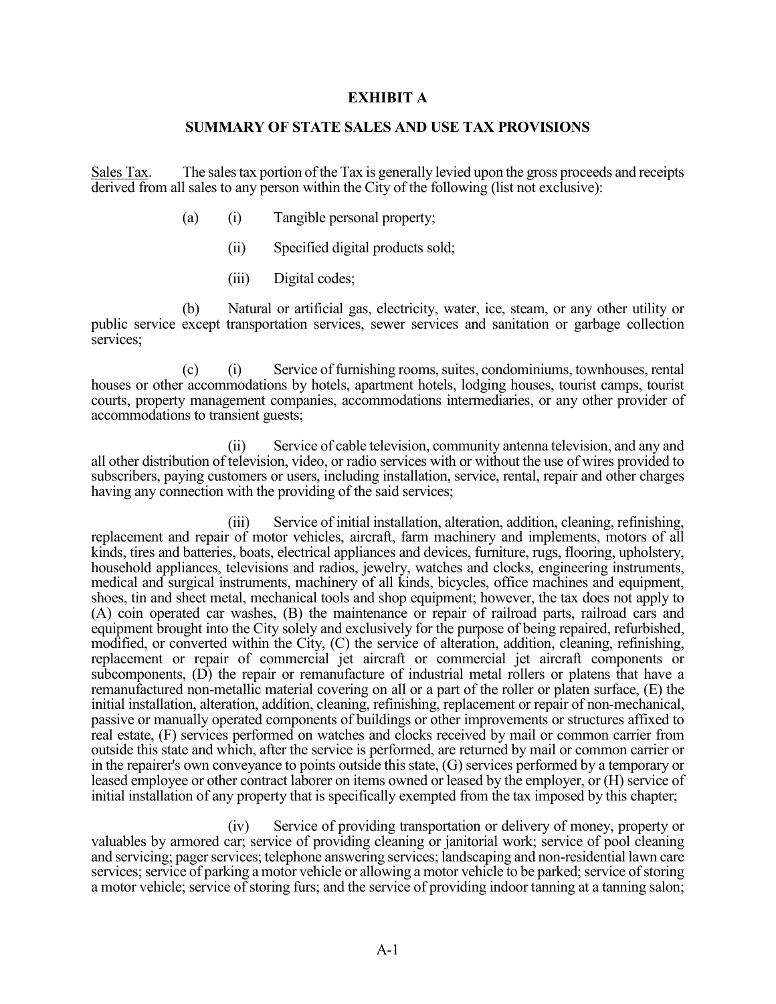# **EXHIBIT A**

# **SUMMARY OF STATE SALES AND USE TAX PROVISIONS**

Sales Tax. The sales tax portion of the Tax is generally levied upon the gross proceeds and receipts derived from all sales to any person within the City of the following (list not exclusive):

- (a) (i) Tangible personal property;
	- (ii) Specified digital products sold;
	- (iii) Digital codes;

 (b) Natural or artificial gas, electricity, water, ice, steam, or any other utility or public service except transportation services, sewer services and sanitation or garbage collection services;

 (c) (i) Service of furnishing rooms, suites, condominiums, townhouses, rental houses or other accommodations by hotels, apartment hotels, lodging houses, tourist camps, tourist courts, property management companies, accommodations intermediaries, or any other provider of accommodations to transient guests;

 (ii) Service of cable television, community antenna television, and any and all other distribution of television, video, or radio services with or without the use of wires provided to subscribers, paying customers or users, including installation, service, rental, repair and other charges having any connection with the providing of the said services;

 (iii) Service of initial installation, alteration, addition, cleaning, refinishing, replacement and repair of motor vehicles, aircraft, farm machinery and implements, motors of all kinds, tires and batteries, boats, electrical appliances and devices, furniture, rugs, flooring, upholstery, household appliances, televisions and radios, jewelry, watches and clocks, engineering instruments, medical and surgical instruments, machinery of all kinds, bicycles, office machines and equipment, shoes, tin and sheet metal, mechanical tools and shop equipment; however, the tax does not apply to (A) coin operated car washes, (B) the maintenance or repair of railroad parts, railroad cars and equipment brought into the City solely and exclusively for the purpose of being repaired, refurbished, modified, or converted within the City, (C) the service of alteration, addition, cleaning, refinishing, replacement or repair of commercial jet aircraft or commercial jet aircraft components or subcomponents, (D) the repair or remanufacture of industrial metal rollers or platens that have a remanufactured non-metallic material covering on all or a part of the roller or platen surface, (E) the initial installation, alteration, addition, cleaning, refinishing, replacement or repair of non-mechanical, passive or manually operated components of buildings or other improvements or structures affixed to real estate, (F) services performed on watches and clocks received by mail or common carrier from outside this state and which, after the service is performed, are returned by mail or common carrier or in the repairer's own conveyance to points outside this state, (G) services performed by a temporary or leased employee or other contract laborer on items owned or leased by the employer, or (H) service of initial installation of any property that is specifically exempted from the tax imposed by this chapter;

 (iv) Service of providing transportation or delivery of money, property or valuables by armored car; service of providing cleaning or janitorial work; service of pool cleaning and servicing; pager services; telephone answering services; landscaping and non-residential lawn care services; service of parking a motor vehicle or allowing a motor vehicle to be parked; service of storing a motor vehicle; service of storing furs; and the service of providing indoor tanning at a tanning salon;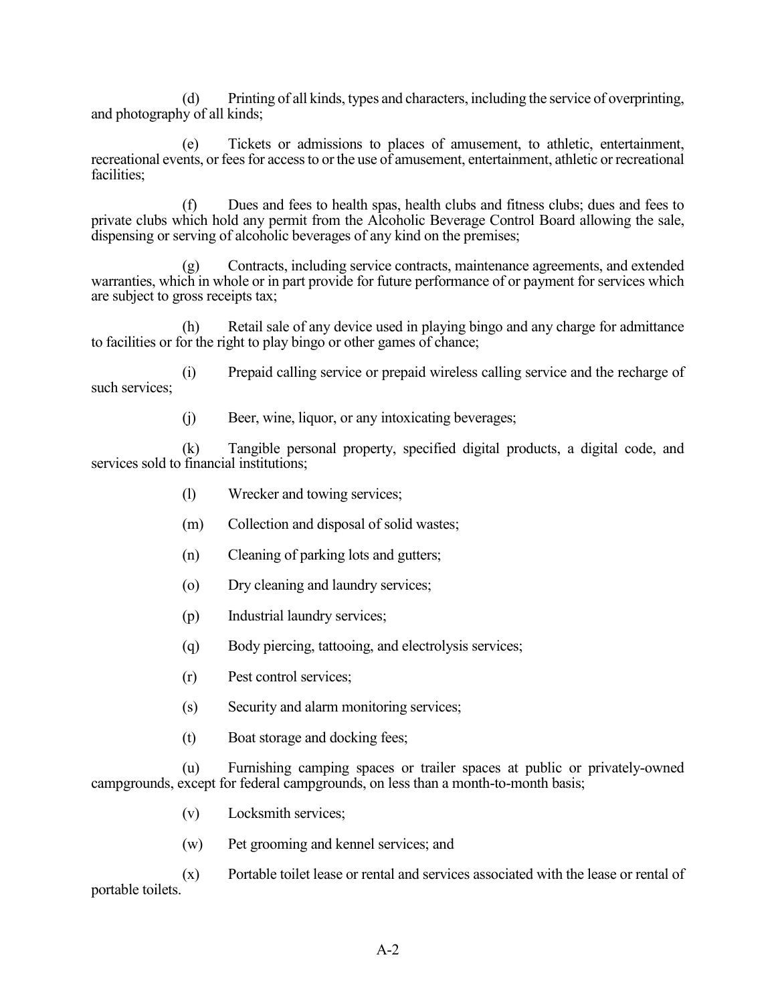(d) Printing of all kinds, types and characters, including the service of overprinting, and photography of all kinds;

 (e) Tickets or admissions to places of amusement, to athletic, entertainment, recreational events, or fees for access to or the use of amusement, entertainment, athletic or recreational facilities;

 (f) Dues and fees to health spas, health clubs and fitness clubs; dues and fees to private clubs which hold any permit from the Alcoholic Beverage Control Board allowing the sale, dispensing or serving of alcoholic beverages of any kind on the premises;

 (g) Contracts, including service contracts, maintenance agreements, and extended warranties, which in whole or in part provide for future performance of or payment for services which are subject to gross receipts tax;

 (h) Retail sale of any device used in playing bingo and any charge for admittance to facilities or for the right to play bingo or other games of chance;

 (i) Prepaid calling service or prepaid wireless calling service and the recharge of such services;

(j) Beer, wine, liquor, or any intoxicating beverages;

 (k) Tangible personal property, specified digital products, a digital code, and services sold to financial institutions;

- (l) Wrecker and towing services;
- (m) Collection and disposal of solid wastes;
- (n) Cleaning of parking lots and gutters;
- (o) Dry cleaning and laundry services;
- (p) Industrial laundry services;
- (q) Body piercing, tattooing, and electrolysis services;
- (r) Pest control services;
- (s) Security and alarm monitoring services;
- (t) Boat storage and docking fees;

 (u) Furnishing camping spaces or trailer spaces at public or privately-owned campgrounds, except for federal campgrounds, on less than a month-to-month basis;

- (v) Locksmith services;
- (w) Pet grooming and kennel services; and

 (x) Portable toilet lease or rental and services associated with the lease or rental of portable toilets.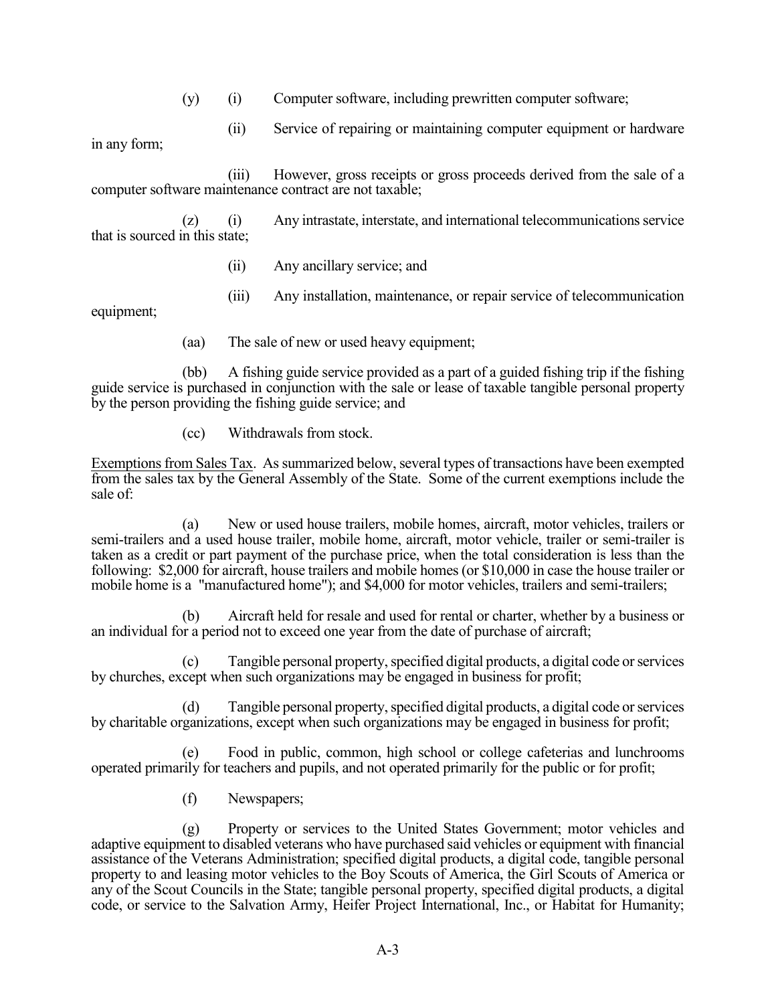- (y) (i) Computer software, including prewritten computer software;
	- (ii) Service of repairing or maintaining computer equipment or hardware

in any form;

 (iii) However, gross receipts or gross proceeds derived from the sale of a computer software maintenance contract are not taxable;

 (z) (i) Any intrastate, interstate, and international telecommunications service that is sourced in this state;

- (ii) Any ancillary service; and
- (iii) Any installation, maintenance, or repair service of telecommunication

equipment;

(aa) The sale of new or used heavy equipment;

 (bb) A fishing guide service provided as a part of a guided fishing trip if the fishing guide service is purchased in conjunction with the sale or lease of taxable tangible personal property by the person providing the fishing guide service; and

(cc) Withdrawals from stock.

Exemptions from Sales Tax. As summarized below, several types of transactions have been exempted from the sales tax by the General Assembly of the State. Some of the current exemptions include the sale of:

 (a) New or used house trailers, mobile homes, aircraft, motor vehicles, trailers or semi-trailers and a used house trailer, mobile home, aircraft, motor vehicle, trailer or semi-trailer is taken as a credit or part payment of the purchase price, when the total consideration is less than the following: \$2,000 for aircraft, house trailers and mobile homes (or \$10,000 in case the house trailer or mobile home is a "manufactured home"); and \$4,000 for motor vehicles, trailers and semi-trailers;

 (b) Aircraft held for resale and used for rental or charter, whether by a business or an individual for a period not to exceed one year from the date of purchase of aircraft;

 (c) Tangible personal property, specified digital products, a digital code or services by churches, except when such organizations may be engaged in business for profit;

 (d) Tangible personal property, specified digital products, a digital code or services by charitable organizations, except when such organizations may be engaged in business for profit;

 (e) Food in public, common, high school or college cafeterias and lunchrooms operated primarily for teachers and pupils, and not operated primarily for the public or for profit;

(f) Newspapers;

 (g) Property or services to the United States Government; motor vehicles and adaptive equipment to disabled veterans who have purchased said vehicles or equipment with financial assistance of the Veterans Administration; specified digital products, a digital code, tangible personal property to and leasing motor vehicles to the Boy Scouts of America, the Girl Scouts of America or any of the Scout Councils in the State; tangible personal property, specified digital products, a digital code, or service to the Salvation Army, Heifer Project International, Inc., or Habitat for Humanity;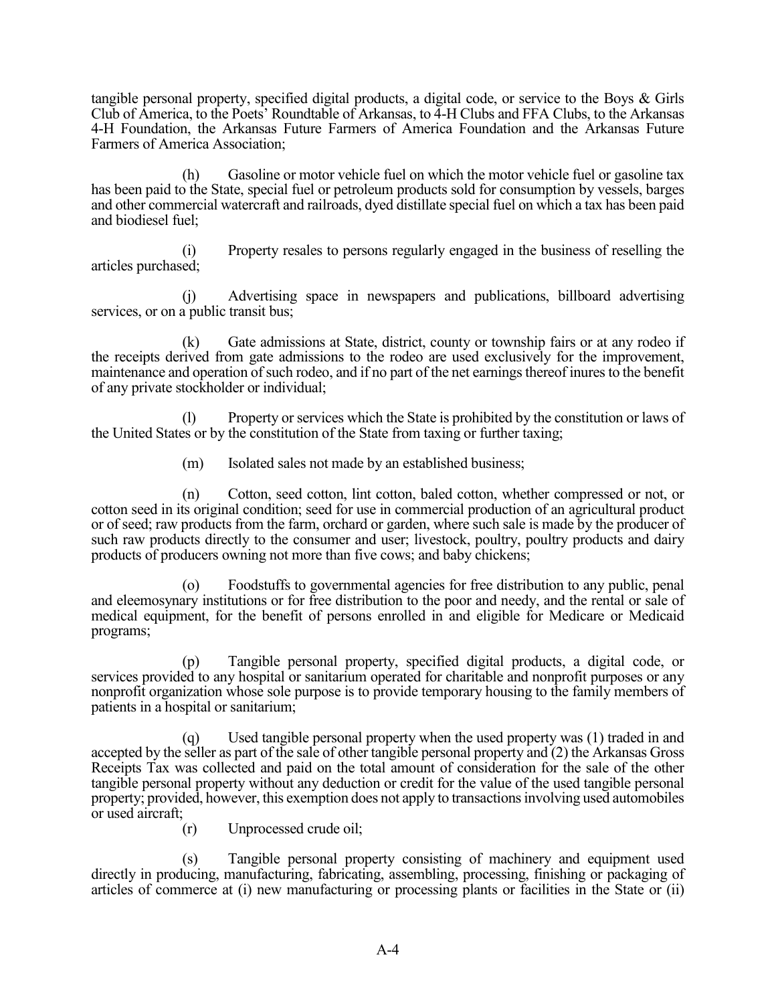tangible personal property, specified digital products, a digital code, or service to the Boys & Girls Club of America, to the Poets' Roundtable of Arkansas, to 4-H Clubs and FFA Clubs, to the Arkansas 4-H Foundation, the Arkansas Future Farmers of America Foundation and the Arkansas Future Farmers of America Association;

 (h) Gasoline or motor vehicle fuel on which the motor vehicle fuel or gasoline tax has been paid to the State, special fuel or petroleum products sold for consumption by vessels, barges and other commercial watercraft and railroads, dyed distillate special fuel on which a tax has been paid and biodiesel fuel;

 (i) Property resales to persons regularly engaged in the business of reselling the articles purchased;

 (j) Advertising space in newspapers and publications, billboard advertising services, or on a public transit bus;

 (k) Gate admissions at State, district, county or township fairs or at any rodeo if the receipts derived from gate admissions to the rodeo are used exclusively for the improvement, maintenance and operation of such rodeo, and if no part of the net earnings thereof inures to the benefit of any private stockholder or individual;

 (l) Property or services which the State is prohibited by the constitution or laws of the United States or by the constitution of the State from taxing or further taxing;

(m) Isolated sales not made by an established business;

 (n) Cotton, seed cotton, lint cotton, baled cotton, whether compressed or not, or cotton seed in its original condition; seed for use in commercial production of an agricultural product or of seed; raw products from the farm, orchard or garden, where such sale is made by the producer of such raw products directly to the consumer and user; livestock, poultry, poultry products and dairy products of producers owning not more than five cows; and baby chickens;

 (o) Foodstuffs to governmental agencies for free distribution to any public, penal and eleemosynary institutions or for free distribution to the poor and needy, and the rental or sale of medical equipment, for the benefit of persons enrolled in and eligible for Medicare or Medicaid programs;

 (p) Tangible personal property, specified digital products, a digital code, or services provided to any hospital or sanitarium operated for charitable and nonprofit purposes or any nonprofit organization whose sole purpose is to provide temporary housing to the family members of patients in a hospital or sanitarium;

 (q) Used tangible personal property when the used property was (1) traded in and accepted by the seller as part of the sale of other tangible personal property and (2) the Arkansas Gross Receipts Tax was collected and paid on the total amount of consideration for the sale of the other tangible personal property without any deduction or credit for the value of the used tangible personal property; provided, however, this exemption does not apply to transactions involving used automobiles or used aircraft;

(r) Unprocessed crude oil;

 (s) Tangible personal property consisting of machinery and equipment used directly in producing, manufacturing, fabricating, assembling, processing, finishing or packaging of articles of commerce at (i) new manufacturing or processing plants or facilities in the State or (ii)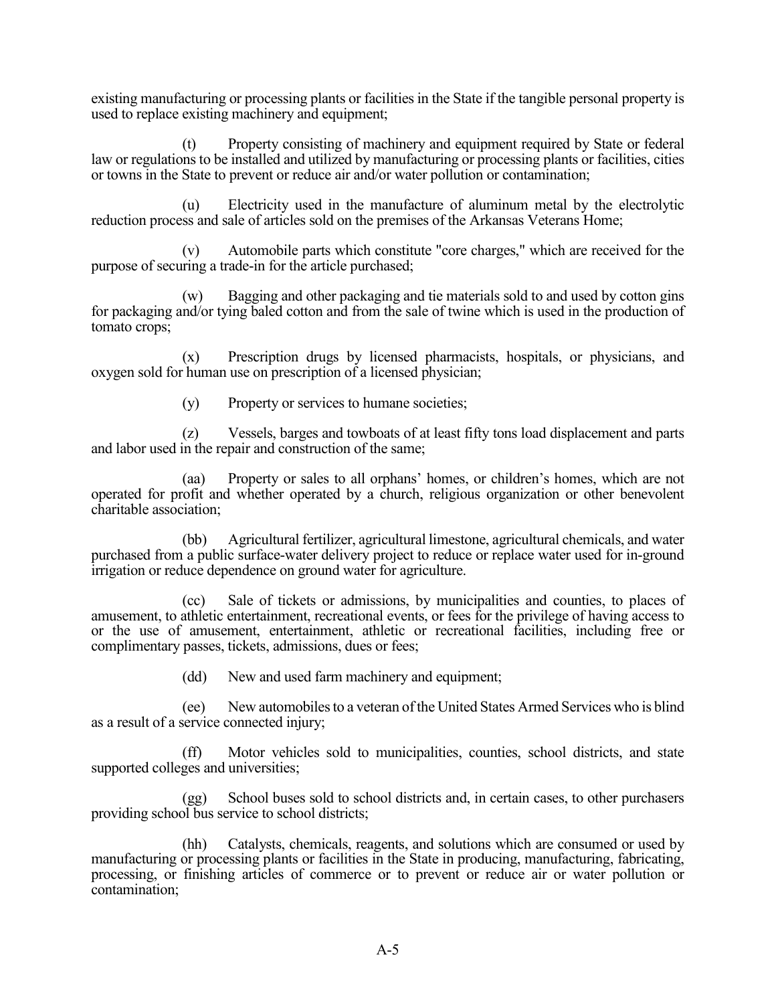existing manufacturing or processing plants or facilities in the State if the tangible personal property is used to replace existing machinery and equipment;

 (t) Property consisting of machinery and equipment required by State or federal law or regulations to be installed and utilized by manufacturing or processing plants or facilities, cities or towns in the State to prevent or reduce air and/or water pollution or contamination;

 (u) Electricity used in the manufacture of aluminum metal by the electrolytic reduction process and sale of articles sold on the premises of the Arkansas Veterans Home;

 (v) Automobile parts which constitute "core charges," which are received for the purpose of securing a trade-in for the article purchased;

 (w) Bagging and other packaging and tie materials sold to and used by cotton gins for packaging and/or tying baled cotton and from the sale of twine which is used in the production of tomato crops;

 (x) Prescription drugs by licensed pharmacists, hospitals, or physicians, and oxygen sold for human use on prescription of a licensed physician;

(y) Property or services to humane societies;

 (z) Vessels, barges and towboats of at least fifty tons load displacement and parts and labor used in the repair and construction of the same;

 (aa) Property or sales to all orphans' homes, or children's homes, which are not operated for profit and whether operated by a church, religious organization or other benevolent charitable association;

 (bb) Agricultural fertilizer, agricultural limestone, agricultural chemicals, and water purchased from a public surface-water delivery project to reduce or replace water used for in-ground irrigation or reduce dependence on ground water for agriculture.

 (cc) Sale of tickets or admissions, by municipalities and counties, to places of amusement, to athletic entertainment, recreational events, or fees for the privilege of having access to or the use of amusement, entertainment, athletic or recreational facilities, including free or complimentary passes, tickets, admissions, dues or fees;

(dd) New and used farm machinery and equipment;

 (ee) New automobiles to a veteran of the United States Armed Services who is blind as a result of a service connected injury;

 (ff) Motor vehicles sold to municipalities, counties, school districts, and state supported colleges and universities;

 (gg) School buses sold to school districts and, in certain cases, to other purchasers providing school bus service to school districts;

 (hh) Catalysts, chemicals, reagents, and solutions which are consumed or used by manufacturing or processing plants or facilities in the State in producing, manufacturing, fabricating, processing, or finishing articles of commerce or to prevent or reduce air or water pollution or contamination;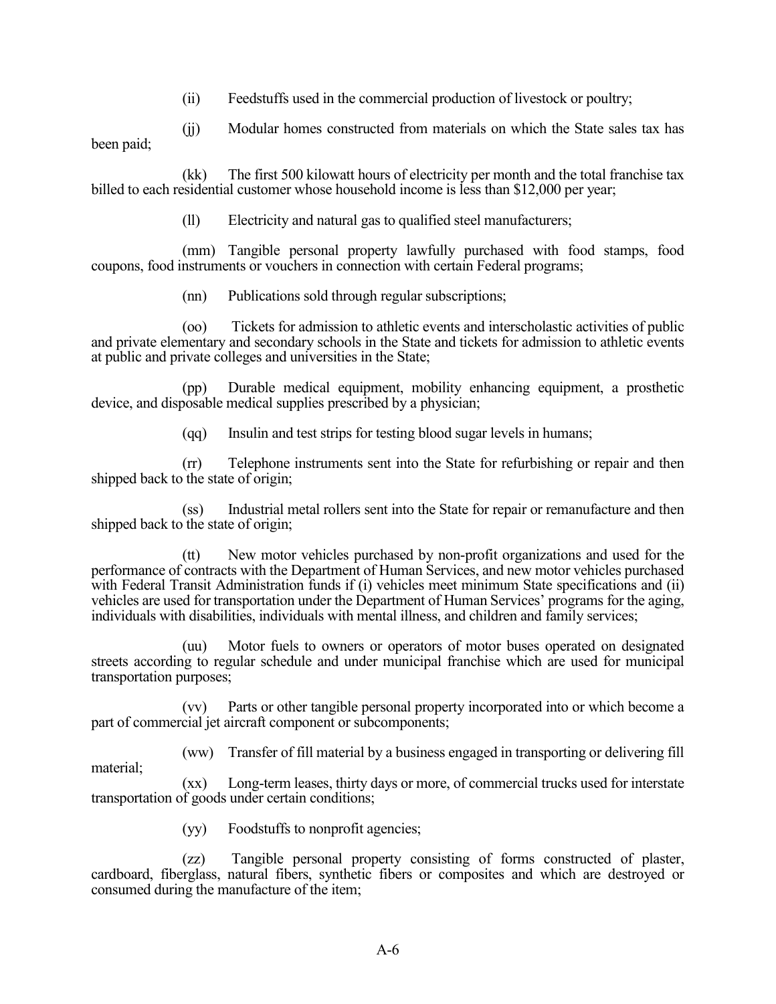(ii) Feedstuffs used in the commercial production of livestock or poultry;

 (jj) Modular homes constructed from materials on which the State sales tax has been paid;

 (kk) The first 500 kilowatt hours of electricity per month and the total franchise tax billed to each residential customer whose household income is less than \$12,000 per year;

(ll) Electricity and natural gas to qualified steel manufacturers;

 (mm) Tangible personal property lawfully purchased with food stamps, food coupons, food instruments or vouchers in connection with certain Federal programs;

(nn) Publications sold through regular subscriptions;

 (oo) Tickets for admission to athletic events and interscholastic activities of public and private elementary and secondary schools in the State and tickets for admission to athletic events at public and private colleges and universities in the State;

 (pp) Durable medical equipment, mobility enhancing equipment, a prosthetic device, and disposable medical supplies prescribed by a physician;

(qq) Insulin and test strips for testing blood sugar levels in humans;

 (rr) Telephone instruments sent into the State for refurbishing or repair and then shipped back to the state of origin;

 (ss) Industrial metal rollers sent into the State for repair or remanufacture and then shipped back to the state of origin;

 (tt) New motor vehicles purchased by non-profit organizations and used for the performance of contracts with the Department of Human Services, and new motor vehicles purchased with Federal Transit Administration funds if (i) vehicles meet minimum State specifications and (ii) vehicles are used for transportation under the Department of Human Services' programs for the aging, individuals with disabilities, individuals with mental illness, and children and family services;

 (uu) Motor fuels to owners or operators of motor buses operated on designated streets according to regular schedule and under municipal franchise which are used for municipal transportation purposes;

 (vv) Parts or other tangible personal property incorporated into or which become a part of commercial jet aircraft component or subcomponents;

 (ww) Transfer of fill material by a business engaged in transporting or delivering fill material;

 (xx) Long-term leases, thirty days or more, of commercial trucks used for interstate transportation of goods under certain conditions;

(yy) Foodstuffs to nonprofit agencies;

 (zz) Tangible personal property consisting of forms constructed of plaster, cardboard, fiberglass, natural fibers, synthetic fibers or composites and which are destroyed or consumed during the manufacture of the item;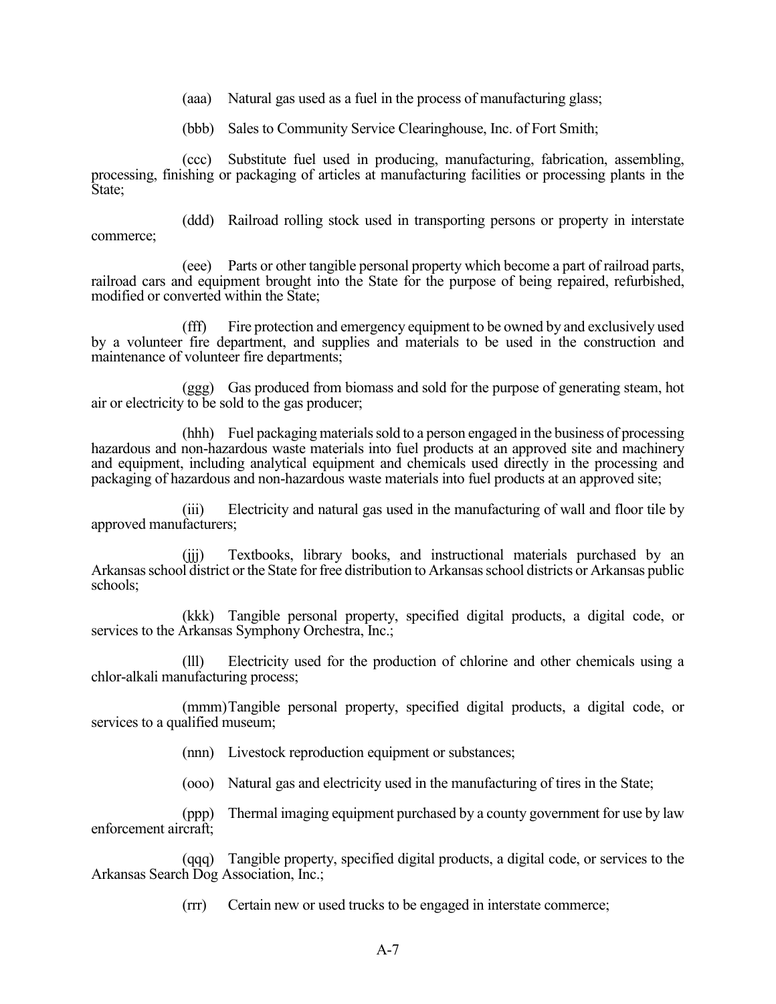(aaa) Natural gas used as a fuel in the process of manufacturing glass;

(bbb) Sales to Community Service Clearinghouse, Inc. of Fort Smith;

 (ccc) Substitute fuel used in producing, manufacturing, fabrication, assembling, processing, finishing or packaging of articles at manufacturing facilities or processing plants in the State;

 (ddd) Railroad rolling stock used in transporting persons or property in interstate commerce;

 (eee) Parts or other tangible personal property which become a part of railroad parts, railroad cars and equipment brought into the State for the purpose of being repaired, refurbished, modified or converted within the State;

 (fff) Fire protection and emergency equipment to be owned by and exclusively used by a volunteer fire department, and supplies and materials to be used in the construction and maintenance of volunteer fire departments;

 (ggg) Gas produced from biomass and sold for the purpose of generating steam, hot air or electricity to be sold to the gas producer;

 (hhh) Fuel packaging materials sold to a person engaged in the business of processing hazardous and non-hazardous waste materials into fuel products at an approved site and machinery and equipment, including analytical equipment and chemicals used directly in the processing and packaging of hazardous and non-hazardous waste materials into fuel products at an approved site;

 (iii) Electricity and natural gas used in the manufacturing of wall and floor tile by approved manufacturers;

 (jjj) Textbooks, library books, and instructional materials purchased by an Arkansas school district or the State for free distribution to Arkansas school districts or Arkansas public schools;

 (kkk) Tangible personal property, specified digital products, a digital code, or services to the Arkansas Symphony Orchestra, Inc.;

 (lll) Electricity used for the production of chlorine and other chemicals using a chlor-alkali manufacturing process;

 (mmm) Tangible personal property, specified digital products, a digital code, or services to a qualified museum;

(nnn) Livestock reproduction equipment or substances;

(ooo) Natural gas and electricity used in the manufacturing of tires in the State;

 (ppp) Thermal imaging equipment purchased by a county government for use by law enforcement aircraft;

 (qqq) Tangible property, specified digital products, a digital code, or services to the Arkansas Search Dog Association, Inc.;

(rrr) Certain new or used trucks to be engaged in interstate commerce;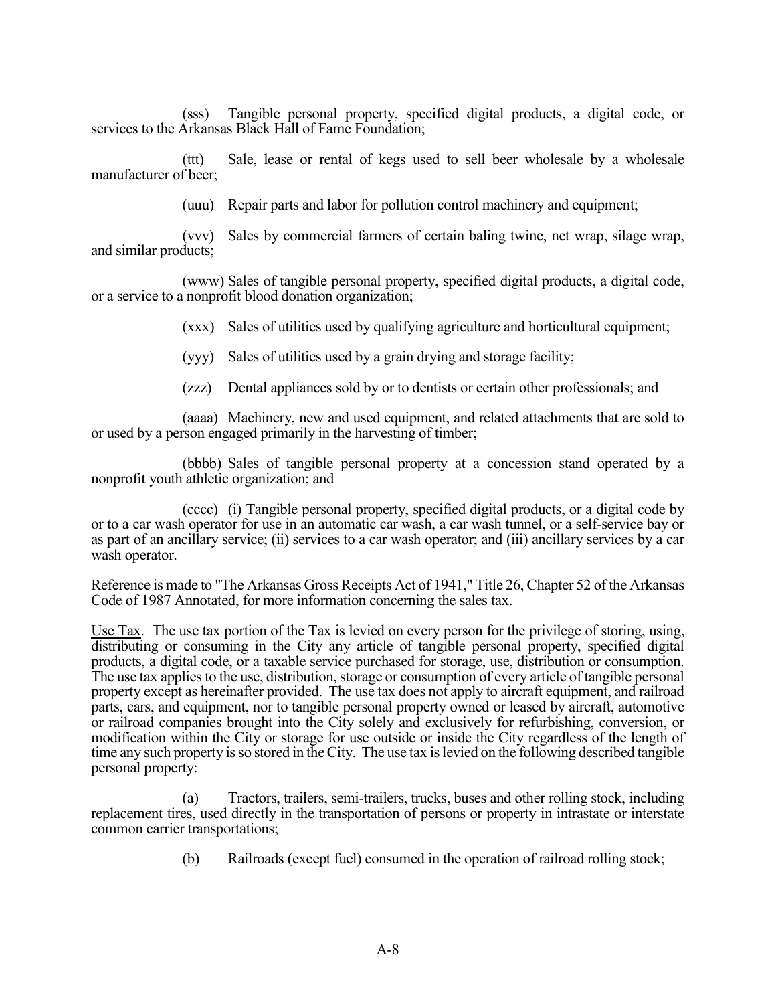(sss) Tangible personal property, specified digital products, a digital code, or services to the Arkansas Black Hall of Fame Foundation;

 (ttt) Sale, lease or rental of kegs used to sell beer wholesale by a wholesale manufacturer of beer;

(uuu) Repair parts and labor for pollution control machinery and equipment;

 (vvv) Sales by commercial farmers of certain baling twine, net wrap, silage wrap, and similar products;

 (www) Sales of tangible personal property, specified digital products, a digital code, or a service to a nonprofit blood donation organization;

(xxx) Sales of utilities used by qualifying agriculture and horticultural equipment;

(yyy) Sales of utilities used by a grain drying and storage facility;

(zzz) Dental appliances sold by or to dentists or certain other professionals; and

 (aaaa) Machinery, new and used equipment, and related attachments that are sold to or used by a person engaged primarily in the harvesting of timber;

 (bbbb) Sales of tangible personal property at a concession stand operated by a nonprofit youth athletic organization; and

 (cccc) (i) Tangible personal property, specified digital products, or a digital code by or to a car wash operator for use in an automatic car wash, a car wash tunnel, or a self-service bay or as part of an ancillary service; (ii) services to a car wash operator; and (iii) ancillary services by a car wash operator.

Reference is made to "The Arkansas Gross Receipts Act of 1941," Title 26, Chapter 52 of the Arkansas Code of 1987 Annotated, for more information concerning the sales tax.

Use Tax. The use tax portion of the Tax is levied on every person for the privilege of storing, using, distributing or consuming in the City any article of tangible personal property, specified digital products, a digital code, or a taxable service purchased for storage, use, distribution or consumption. The use tax applies to the use, distribution, storage or consumption of every article of tangible personal property except as hereinafter provided. The use tax does not apply to aircraft equipment, and railroad parts, cars, and equipment, nor to tangible personal property owned or leased by aircraft, automotive or railroad companies brought into the City solely and exclusively for refurbishing, conversion, or modification within the City or storage for use outside or inside the City regardless of the length of time any such property is so stored in the City. The use tax is levied on the following described tangible personal property:

Tractors, trailers, semi-trailers, trucks, buses and other rolling stock, including replacement tires, used directly in the transportation of persons or property in intrastate or interstate common carrier transportations;

(b) Railroads (except fuel) consumed in the operation of railroad rolling stock;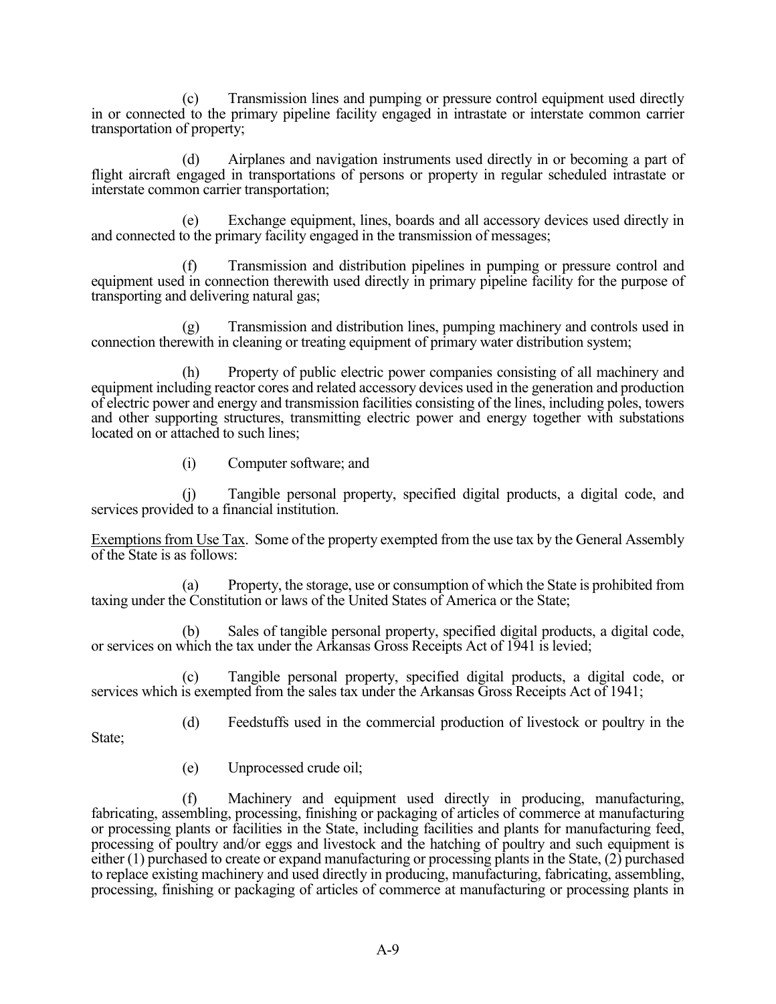(c) Transmission lines and pumping or pressure control equipment used directly in or connected to the primary pipeline facility engaged in intrastate or interstate common carrier transportation of property;

 (d) Airplanes and navigation instruments used directly in or becoming a part of flight aircraft engaged in transportations of persons or property in regular scheduled intrastate or interstate common carrier transportation;

 (e) Exchange equipment, lines, boards and all accessory devices used directly in and connected to the primary facility engaged in the transmission of messages;

 (f) Transmission and distribution pipelines in pumping or pressure control and equipment used in connection therewith used directly in primary pipeline facility for the purpose of transporting and delivering natural gas;

 (g) Transmission and distribution lines, pumping machinery and controls used in connection therewith in cleaning or treating equipment of primary water distribution system;

 (h) Property of public electric power companies consisting of all machinery and equipment including reactor cores and related accessory devices used in the generation and production of electric power and energy and transmission facilities consisting of the lines, including poles, towers and other supporting structures, transmitting electric power and energy together with substations located on or attached to such lines;

(i) Computer software; and

 (j) Tangible personal property, specified digital products, a digital code, and services provided to a financial institution.

Exemptions from Use Tax. Some of the property exempted from the use tax by the General Assembly of the State is as follows:

 (a) Property, the storage, use or consumption of which the State is prohibited from taxing under the Constitution or laws of the United States of America or the State;

 (b) Sales of tangible personal property, specified digital products, a digital code, or services on which the tax under the Arkansas Gross Receipts Act of 1941 is levied;

 (c) Tangible personal property, specified digital products, a digital code, or services which is exempted from the sales tax under the Arkansas Gross Receipts Act of 1941;

(d) Feedstuffs used in the commercial production of livestock or poultry in the

State;

(e) Unprocessed crude oil;

Machinery and equipment used directly in producing, manufacturing, fabricating, assembling, processing, finishing or packaging of articles of commerce at manufacturing or processing plants or facilities in the State, including facilities and plants for manufacturing feed, processing of poultry and/or eggs and livestock and the hatching of poultry and such equipment is either (1) purchased to create or expand manufacturing or processing plants in the State, (2) purchased to replace existing machinery and used directly in producing, manufacturing, fabricating, assembling, processing, finishing or packaging of articles of commerce at manufacturing or processing plants in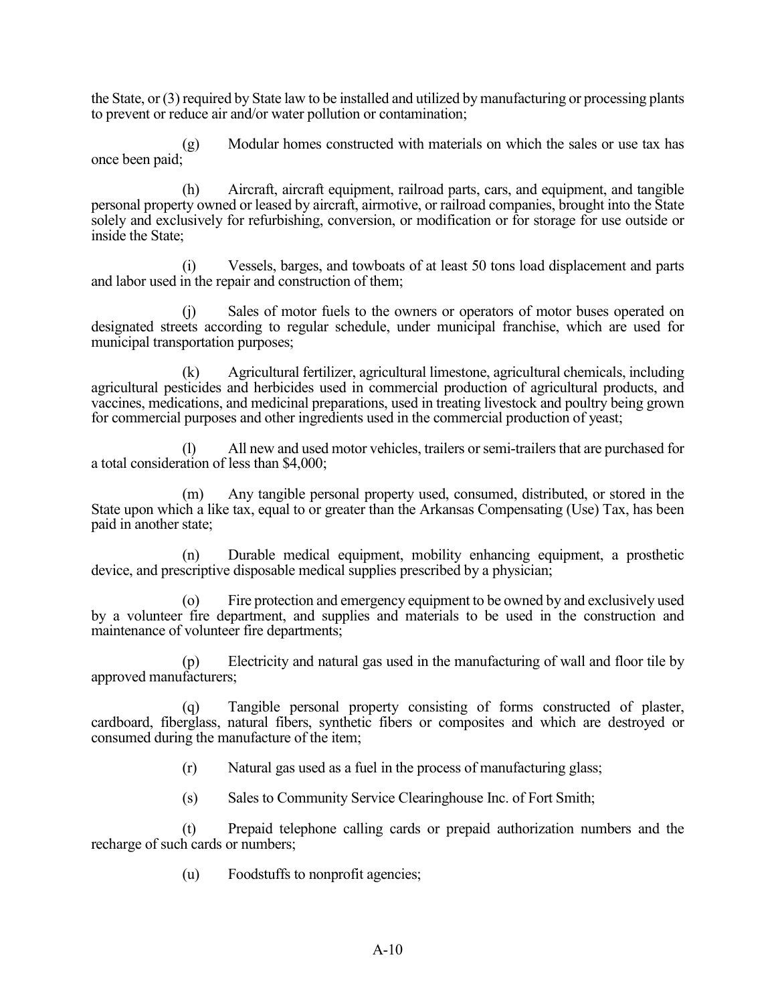the State, or (3) required by State law to be installed and utilized by manufacturing or processing plants to prevent or reduce air and/or water pollution or contamination;

 (g) Modular homes constructed with materials on which the sales or use tax has once been paid;

 (h) Aircraft, aircraft equipment, railroad parts, cars, and equipment, and tangible personal property owned or leased by aircraft, airmotive, or railroad companies, brought into the State solely and exclusively for refurbishing, conversion, or modification or for storage for use outside or inside the State;

Vessels, barges, and towboats of at least 50 tons load displacement and parts and labor used in the repair and construction of them;

 (j) Sales of motor fuels to the owners or operators of motor buses operated on designated streets according to regular schedule, under municipal franchise, which are used for municipal transportation purposes;

 (k) Agricultural fertilizer, agricultural limestone, agricultural chemicals, including agricultural pesticides and herbicides used in commercial production of agricultural products, and vaccines, medications, and medicinal preparations, used in treating livestock and poultry being grown for commercial purposes and other ingredients used in the commercial production of yeast;

All new and used motor vehicles, trailers or semi-trailers that are purchased for a total consideration of less than \$4,000;

 (m) Any tangible personal property used, consumed, distributed, or stored in the State upon which a like tax, equal to or greater than the Arkansas Compensating (Use) Tax, has been paid in another state;

 (n) Durable medical equipment, mobility enhancing equipment, a prosthetic device, and prescriptive disposable medical supplies prescribed by a physician;

 (o) Fire protection and emergency equipment to be owned by and exclusively used by a volunteer fire department, and supplies and materials to be used in the construction and maintenance of volunteer fire departments;

 (p) Electricity and natural gas used in the manufacturing of wall and floor tile by approved manufacturers;

 (q) Tangible personal property consisting of forms constructed of plaster, cardboard, fiberglass, natural fibers, synthetic fibers or composites and which are destroyed or consumed during the manufacture of the item;

(r) Natural gas used as a fuel in the process of manufacturing glass;

(s) Sales to Community Service Clearinghouse Inc. of Fort Smith;

 (t) Prepaid telephone calling cards or prepaid authorization numbers and the recharge of such cards or numbers;

(u) Foodstuffs to nonprofit agencies;